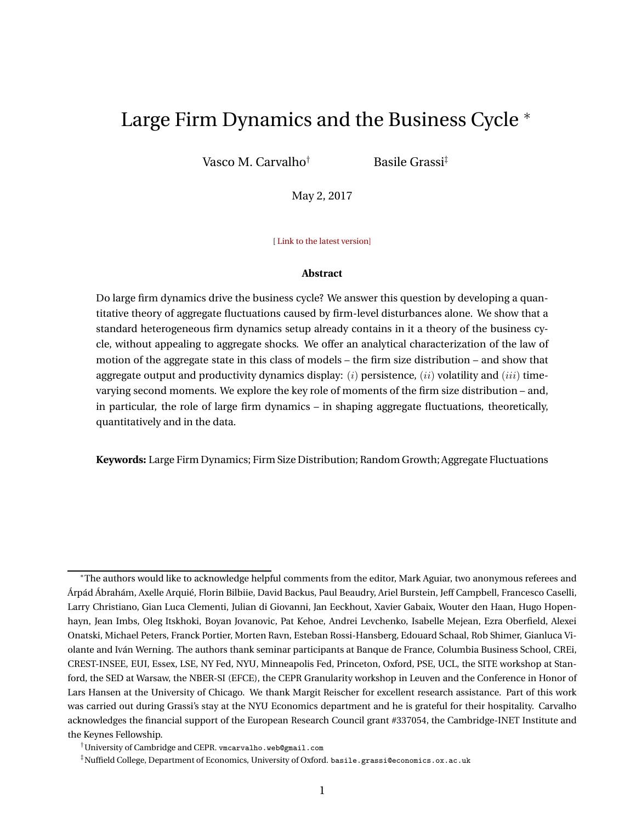# Large Firm Dynamics and the Business Cycle ∗

Vasco M. Carvalho<sup>†</sup> Basile Grassi<sup>‡</sup>

May 2, 2017

[ [Link to the latest version\]](https://sites.google.com/site/grassibasile/home/research/granular)

#### **Abstract**

Do large firm dynamics drive the business cycle? We answer this question by developing a quantitative theory of aggregate fluctuations caused by firm-level disturbances alone. We show that a standard heterogeneous firm dynamics setup already contains in it a theory of the business cycle, without appealing to aggregate shocks. We offer an analytical characterization of the law of motion of the aggregate state in this class of models – the firm size distribution – and show that aggregate output and productivity dynamics display:  $(i)$  persistence,  $(ii)$  volatility and  $(iii)$  timevarying second moments. We explore the key role of moments of the firm size distribution – and, in particular, the role of large firm dynamics – in shaping aggregate fluctuations, theoretically, quantitatively and in the data.

**Keywords:** Large Firm Dynamics; Firm Size Distribution; Random Growth; Aggregate Fluctuations

<sup>∗</sup>The authors would like to acknowledge helpful comments from the editor, Mark Aguiar, two anonymous referees and Árpád Ábrahám, Axelle Arquié, Florin Bilbiie, David Backus, Paul Beaudry, Ariel Burstein, Jeff Campbell, Francesco Caselli, Larry Christiano, Gian Luca Clementi, Julian di Giovanni, Jan Eeckhout, Xavier Gabaix, Wouter den Haan, Hugo Hopenhayn, Jean Imbs, Oleg Itskhoki, Boyan Jovanovic, Pat Kehoe, Andrei Levchenko, Isabelle Mejean, Ezra Oberfield, Alexei Onatski, Michael Peters, Franck Portier, Morten Ravn, Esteban Rossi-Hansberg, Edouard Schaal, Rob Shimer, Gianluca Violante and Iván Werning. The authors thank seminar participants at Banque de France, Columbia Business School, CREi, CREST-INSEE, EUI, Essex, LSE, NY Fed, NYU, Minneapolis Fed, Princeton, Oxford, PSE, UCL, the SITE workshop at Stanford, the SED at Warsaw, the NBER-SI (EFCE), the CEPR Granularity workshop in Leuven and the Conference in Honor of Lars Hansen at the University of Chicago. We thank Margit Reischer for excellent research assistance. Part of this work was carried out during Grassi's stay at the NYU Economics department and he is grateful for their hospitality. Carvalho acknowledges the financial support of the European Research Council grant #337054, the Cambridge-INET Institute and the Keynes Fellowship.

<sup>†</sup>University of Cambridge and CEPR. vmcarvalho.web@gmail.com

<sup>‡</sup>Nuffield College, Department of Economics, University of Oxford. basile.grassi@economics.ox.ac.uk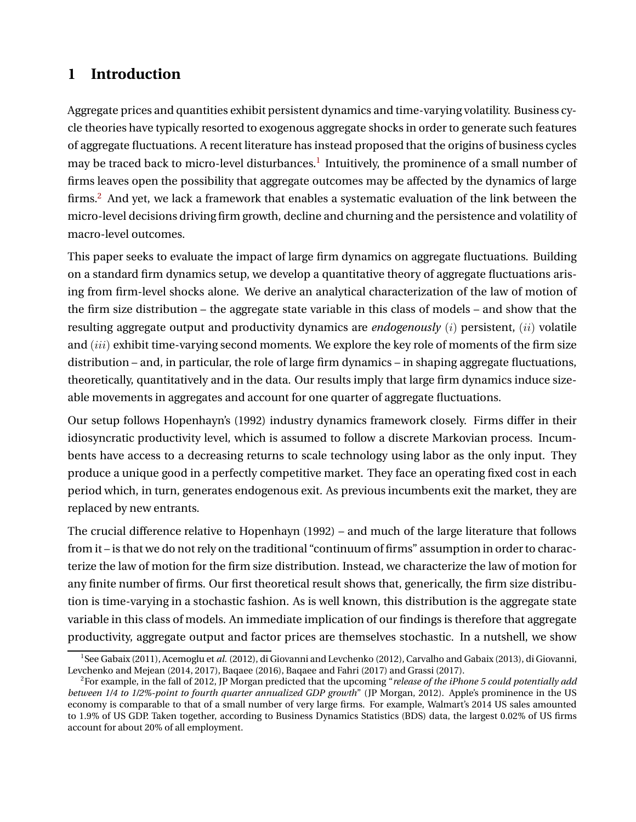# **1 Introduction**

Aggregate prices and quantities exhibit persistent dynamics and time-varying volatility. Business cycle theories have typically resorted to exogenous aggregate shocks in order to generate such features of aggregate fluctuations. A recent literature has instead proposed that the origins of business cycles may be traced back to micro-level disturbances.<sup>1</sup> Intuitively, the prominence of a small number of firms leaves open the possibility that aggregate outcomes may be affected by the dynamics of large firms.<sup>2</sup> And yet, we lack a framework that enables a systematic evaluation of the link between the micro-level decisions driving firm growth, decline and churning and the persistence and volatility of macro-level outcomes.

This paper seeks to evaluate the impact of large firm dynamics on aggregate fluctuations. Building on a standard firm dynamics setup, we develop a quantitative theory of aggregate fluctuations arising from firm-level shocks alone. We derive an analytical characterization of the law of motion of the firm size distribution – the aggregate state variable in this class of models – and show that the resulting aggregate output and productivity dynamics are *endogenously* (*i*) persistent, (*ii*) volatile and *(iii)* exhibit time-varying second moments. We explore the key role of moments of the firm size distribution – and, in particular, the role of large firm dynamics – in shaping aggregate fluctuations, theoretically, quantitatively and in the data. Our results imply that large firm dynamics induce sizeable movements in aggregates and account for one quarter of aggregate fluctuations.

Our setup follows Hopenhayn's (1992) industry dynamics framework closely. Firms differ in their idiosyncratic productivity level, which is assumed to follow a discrete Markovian process. Incumbents have access to a decreasing returns to scale technology using labor as the only input. They produce a unique good in a perfectly competitive market. They face an operating fixed cost in each period which, in turn, generates endogenous exit. As previous incumbents exit the market, they are replaced by new entrants.

The crucial difference relative to Hopenhayn (1992) – and much of the large literature that follows from it – is that we do not rely on the traditional "continuum of firms" assumption in order to characterize the law of motion for the firm size distribution. Instead, we characterize the law of motion for any finite number of firms. Our first theoretical result shows that, generically, the firm size distribution is time-varying in a stochastic fashion. As is well known, this distribution is the aggregate state variable in this class of models. An immediate implication of our findings is therefore that aggregate productivity, aggregate output and factor prices are themselves stochastic. In a nutshell, we show

<sup>1</sup> See Gabaix (2011), Acemoglu et *al.* (2012), di Giovanni and Levchenko (2012), Carvalho and Gabaix (2013), di Giovanni, Levchenko and Mejean (2014, 2017), Baqaee (2016), Baqaee and Fahri (2017) and Grassi (2017).

<sup>2</sup>For example, in the fall of 2012, JP Morgan predicted that the upcoming "*release of the iPhone 5 could potentially add between 1/4 to 1/2%-point to fourth quarter annualized GDP growth*" (JP Morgan, 2012). Apple's prominence in the US economy is comparable to that of a small number of very large firms. For example, Walmart's 2014 US sales amounted to 1.9% of US GDP. Taken together, according to Business Dynamics Statistics (BDS) data, the largest 0.02% of US firms account for about 20% of all employment.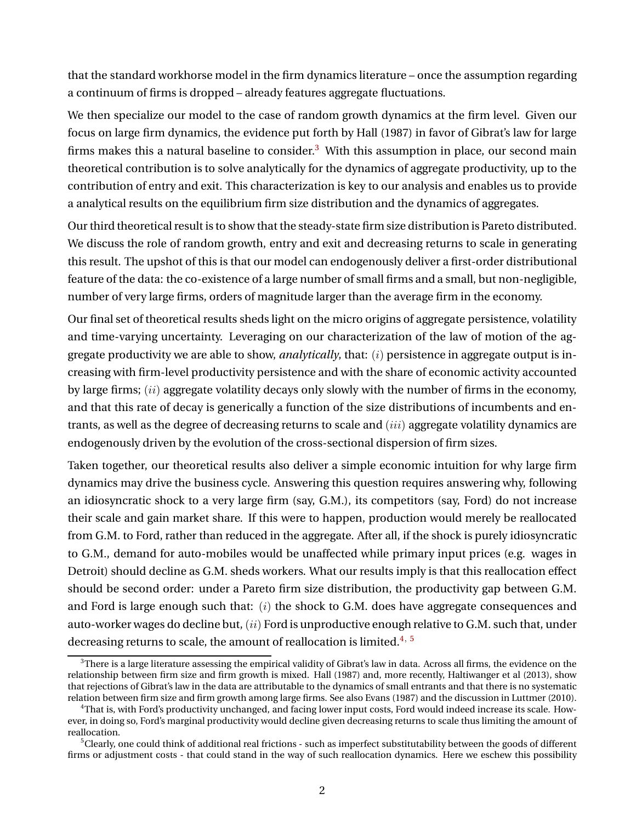that the standard workhorse model in the firm dynamics literature – once the assumption regarding a continuum of firms is dropped – already features aggregate fluctuations.

We then specialize our model to the case of random growth dynamics at the firm level. Given our focus on large firm dynamics, the evidence put forth by Hall (1987) in favor of Gibrat's law for large firms makes this a natural baseline to consider.<sup>3</sup> With this assumption in place, our second main theoretical contribution is to solve analytically for the dynamics of aggregate productivity, up to the contribution of entry and exit. This characterization is key to our analysis and enables us to provide a analytical results on the equilibrium firm size distribution and the dynamics of aggregates.

Our third theoretical result is to show that the steady-state firm size distribution is Pareto distributed. We discuss the role of random growth, entry and exit and decreasing returns to scale in generating this result. The upshot of this is that our model can endogenously deliver a first-order distributional feature of the data: the co-existence of a large number of small firms and a small, but non-negligible, number of very large firms, orders of magnitude larger than the average firm in the economy.

Our final set of theoretical results sheds light on the micro origins of aggregate persistence, volatility and time-varying uncertainty. Leveraging on our characterization of the law of motion of the aggregate productivity we are able to show, *analytically*, that: (i) persistence in aggregate output is increasing with firm-level productivity persistence and with the share of economic activity accounted by large firms;  $(ii)$  aggregate volatility decays only slowly with the number of firms in the economy, and that this rate of decay is generically a function of the size distributions of incumbents and entrants, as well as the degree of decreasing returns to scale and (*iii*) aggregate volatility dynamics are endogenously driven by the evolution of the cross-sectional dispersion of firm sizes.

Taken together, our theoretical results also deliver a simple economic intuition for why large firm dynamics may drive the business cycle. Answering this question requires answering why, following an idiosyncratic shock to a very large firm (say, G.M.), its competitors (say, Ford) do not increase their scale and gain market share. If this were to happen, production would merely be reallocated from G.M. to Ford, rather than reduced in the aggregate. After all, if the shock is purely idiosyncratic to G.M., demand for auto-mobiles would be unaffected while primary input prices (e.g. wages in Detroit) should decline as G.M. sheds workers. What our results imply is that this reallocation effect should be second order: under a Pareto firm size distribution, the productivity gap between G.M. and Ford is large enough such that:  $(i)$  the shock to G.M. does have aggregate consequences and auto-worker wages do decline but,  $(ii)$  Ford is unproductive enough relative to G.M. such that, under decreasing returns to scale, the amount of reallocation is limited. $4, 5$ 

 $3$ There is a large literature assessing the empirical validity of Gibrat's law in data. Across all firms, the evidence on the relationship between firm size and firm growth is mixed. Hall (1987) and, more recently, Haltiwanger et al (2013), show that rejections of Gibrat's law in the data are attributable to the dynamics of small entrants and that there is no systematic relation between firm size and firm growth among large firms. See also Evans (1987) and the discussion in Luttmer (2010).

<sup>&</sup>lt;sup>4</sup>That is, with Ford's productivity unchanged, and facing lower input costs, Ford would indeed increase its scale. However, in doing so, Ford's marginal productivity would decline given decreasing returns to scale thus limiting the amount of reallocation.

 $5$ Clearly, one could think of additional real frictions - such as imperfect substitutability between the goods of different firms or adjustment costs - that could stand in the way of such reallocation dynamics. Here we eschew this possibility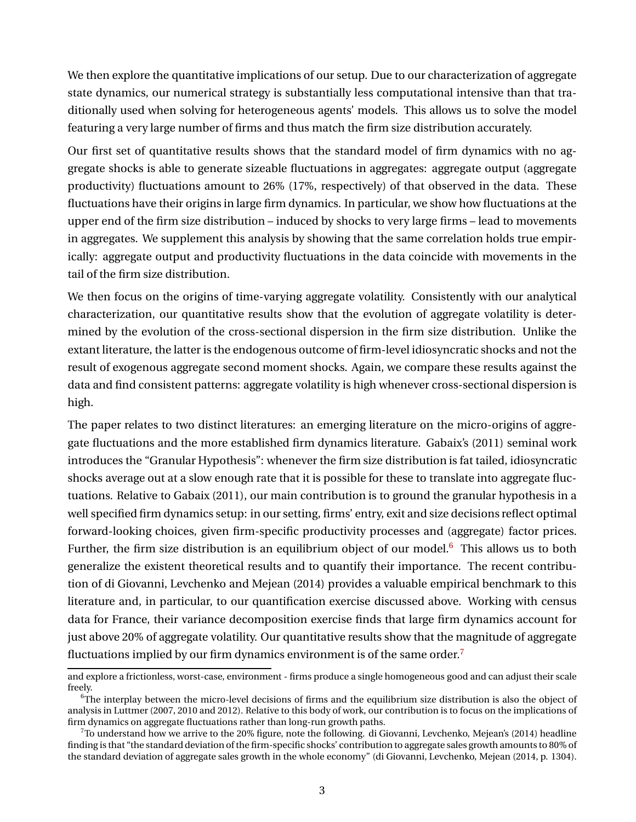We then explore the quantitative implications of our setup. Due to our characterization of aggregate state dynamics, our numerical strategy is substantially less computational intensive than that traditionally used when solving for heterogeneous agents' models. This allows us to solve the model featuring a very large number of firms and thus match the firm size distribution accurately.

Our first set of quantitative results shows that the standard model of firm dynamics with no aggregate shocks is able to generate sizeable fluctuations in aggregates: aggregate output (aggregate productivity) fluctuations amount to 26% (17%, respectively) of that observed in the data. These fluctuations have their origins in large firm dynamics. In particular, we show how fluctuations at the upper end of the firm size distribution – induced by shocks to very large firms – lead to movements in aggregates. We supplement this analysis by showing that the same correlation holds true empirically: aggregate output and productivity fluctuations in the data coincide with movements in the tail of the firm size distribution.

We then focus on the origins of time-varying aggregate volatility. Consistently with our analytical characterization, our quantitative results show that the evolution of aggregate volatility is determined by the evolution of the cross-sectional dispersion in the firm size distribution. Unlike the extant literature, the latter is the endogenous outcome of firm-level idiosyncratic shocks and not the result of exogenous aggregate second moment shocks. Again, we compare these results against the data and find consistent patterns: aggregate volatility is high whenever cross-sectional dispersion is high.

The paper relates to two distinct literatures: an emerging literature on the micro-origins of aggregate fluctuations and the more established firm dynamics literature. Gabaix's (2011) seminal work introduces the "Granular Hypothesis": whenever the firm size distribution is fat tailed, idiosyncratic shocks average out at a slow enough rate that it is possible for these to translate into aggregate fluctuations. Relative to Gabaix (2011), our main contribution is to ground the granular hypothesis in a well specified firm dynamics setup: in our setting, firms' entry, exit and size decisions reflect optimal forward-looking choices, given firm-specific productivity processes and (aggregate) factor prices. Further, the firm size distribution is an equilibrium object of our model.<sup>6</sup> This allows us to both generalize the existent theoretical results and to quantify their importance. The recent contribution of di Giovanni, Levchenko and Mejean (2014) provides a valuable empirical benchmark to this literature and, in particular, to our quantification exercise discussed above. Working with census data for France, their variance decomposition exercise finds that large firm dynamics account for just above 20% of aggregate volatility. Our quantitative results show that the magnitude of aggregate fluctuations implied by our firm dynamics environment is of the same order.<sup>7</sup>

and explore a frictionless, worst-case, environment - firms produce a single homogeneous good and can adjust their scale freely.

 $6$ The interplay between the micro-level decisions of firms and the equilibrium size distribution is also the object of analysis in Luttmer (2007, 2010 and 2012). Relative to this body of work, our contribution is to focus on the implications of firm dynamics on aggregate fluctuations rather than long-run growth paths.

 $7$ To understand how we arrive to the 20% figure, note the following. di Giovanni, Levchenko, Mejean's (2014) headline finding is that "the standard deviation of the firm-specific shocks' contribution to aggregate sales growth amounts to 80% of the standard deviation of aggregate sales growth in the whole economy" (di Giovanni, Levchenko, Mejean (2014, p. 1304).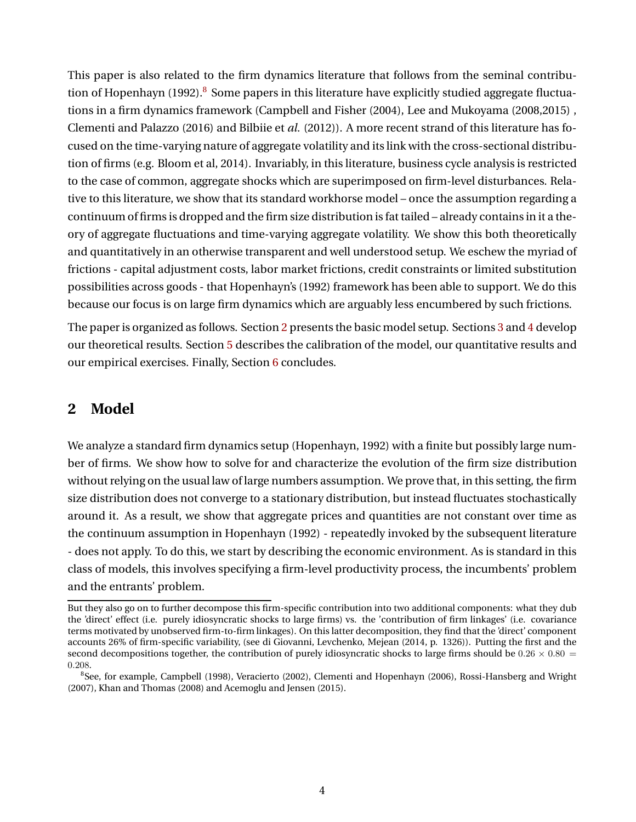This paper is also related to the firm dynamics literature that follows from the seminal contribution of Hopenhayn (1992).<sup>8</sup> Some papers in this literature have explicitly studied aggregate fluctuations in a firm dynamics framework (Campbell and Fisher (2004), Lee and Mukoyama (2008,2015) , Clementi and Palazzo (2016) and Bilbiie et *al.* (2012)). A more recent strand of this literature has focused on the time-varying nature of aggregate volatility and its link with the cross-sectional distribution of firms (e.g. Bloom et al, 2014). Invariably, in this literature, business cycle analysis is restricted to the case of common, aggregate shocks which are superimposed on firm-level disturbances. Relative to this literature, we show that its standard workhorse model – once the assumption regarding a continuum of firms is dropped and the firm size distribution is fat tailed – already contains in it a theory of aggregate fluctuations and time-varying aggregate volatility. We show this both theoretically and quantitatively in an otherwise transparent and well understood setup. We eschew the myriad of frictions - capital adjustment costs, labor market frictions, credit constraints or limited substitution possibilities across goods - that Hopenhayn's (1992) framework has been able to support. We do this because our focus is on large firm dynamics which are arguably less encumbered by such frictions.

The paper is organized as follows. Section 2 presents the basic model setup. Sections 3 and 4 develop our theoretical results. Section 5 describes the calibration of the model, our quantitative results and our empirical exercises. Finally, Section 6 concludes.

# **2 Model**

We analyze a standard firm dynamics setup (Hopenhayn, 1992) with a finite but possibly large number of firms. We show how to solve for and characterize the evolution of the firm size distribution without relying on the usual law of large numbers assumption. We prove that, in this setting, the firm size distribution does not converge to a stationary distribution, but instead fluctuates stochastically around it. As a result, we show that aggregate prices and quantities are not constant over time as the continuum assumption in Hopenhayn (1992) - repeatedly invoked by the subsequent literature - does not apply. To do this, we start by describing the economic environment. As is standard in this class of models, this involves specifying a firm-level productivity process, the incumbents' problem and the entrants' problem.

But they also go on to further decompose this firm-specific contribution into two additional components: what they dub the 'direct' effect (i.e. purely idiosyncratic shocks to large firms) vs. the 'contribution of firm linkages' (i.e. covariance terms motivated by unobserved firm-to-firm linkages). On this latter decomposition, they find that the 'direct' component accounts 26% of firm-specific variability, (see di Giovanni, Levchenko, Mejean (2014, p. 1326)). Putting the first and the second decompositions together, the contribution of purely idiosyncratic shocks to large firms should be  $0.26 \times 0.80 =$ 0.208.

<sup>8</sup> See, for example, Campbell (1998), Veracierto (2002), Clementi and Hopenhayn (2006), Rossi-Hansberg and Wright (2007), Khan and Thomas (2008) and Acemoglu and Jensen (2015).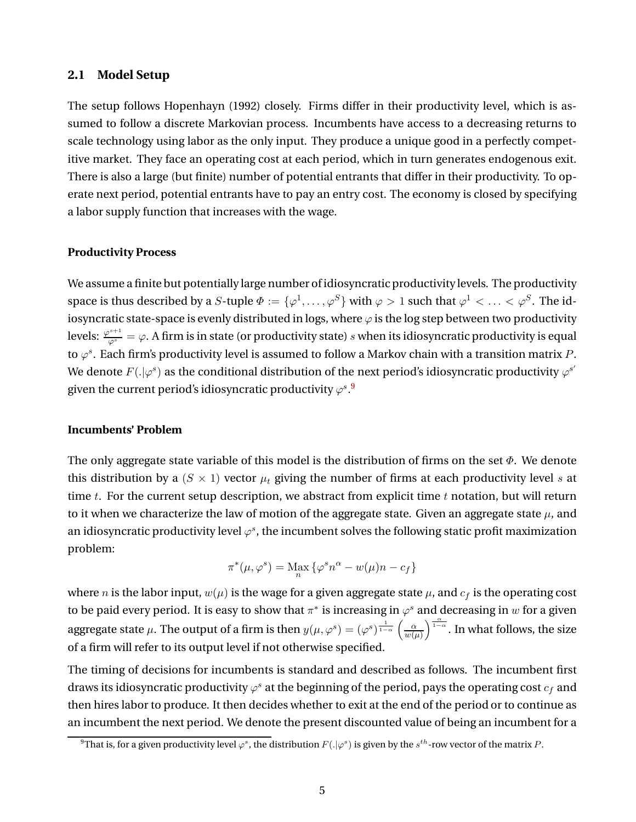### **2.1 Model Setup**

The setup follows Hopenhayn (1992) closely. Firms differ in their productivity level, which is assumed to follow a discrete Markovian process. Incumbents have access to a decreasing returns to scale technology using labor as the only input. They produce a unique good in a perfectly competitive market. They face an operating cost at each period, which in turn generates endogenous exit. There is also a large (but finite) number of potential entrants that differ in their productivity. To operate next period, potential entrants have to pay an entry cost. The economy is closed by specifying a labor supply function that increases with the wage.

#### **Productivity Process**

We assume a finite but potentially large number of idiosyncratic productivity levels. The productivity space is thus described by a  $S$ -tuple  $\Phi:=\{\varphi^1,\ldots,\varphi^S\}$  with  $\varphi>1$  such that  $\varphi^1<\ldots<\varphi^S.$  The idiosyncratic state-space is evenly distributed in logs, where  $\varphi$  is the log step between two productivity levels:  $\frac{\varphi^{s+1}}{\varphi^s}=\varphi.$  A firm is in state (or productivity state)  $s$  when its idiosyncratic productivity is equal to  $\varphi^s$ . Each firm's productivity level is assumed to follow a Markov chain with a transition matrix P. We denote  $F(.|\varphi^s)$  as the conditional distribution of the next period's idiosyncratic productivity  $\varphi^{s'}$ given the current period's idiosyncratic productivity  $\varphi^s.$   $^9$ 

#### **Incumbents' Problem**

The only aggregate state variable of this model is the distribution of firms on the set  $\Phi$ . We denote this distribution by a  $(S \times 1)$  vector  $\mu_t$  giving the number of firms at each productivity level s at time  $t$ . For the current setup description, we abstract from explicit time  $t$  notation, but will return to it when we characterize the law of motion of the aggregate state. Given an aggregate state  $\mu$ , and an idiosyncratic productivity level  $\varphi^s$ , the incumbent solves the following static profit maximization problem:

$$
\pi^*(\mu, \varphi^s) = \operatorname*{Max}_n \{ \varphi^s n^\alpha - w(\mu)n - c_f \}
$$

where *n* is the labor input,  $w(\mu)$  is the wage for a given aggregate state  $\mu$ , and  $c_f$  is the operating cost to be paid every period. It is easy to show that  $\pi^*$  is increasing in  $\varphi^s$  and decreasing in  $w$  for a given aggregate state  $\mu$ . The output of a firm is then  $y(\mu, \varphi^s) = (\varphi^s)^{\frac{1}{1-\alpha}} \left( \frac{\alpha}{\omega \mu^s} \right)$  $w(\mu)$  $\int_{1-\alpha}^{\frac{\alpha}{1-\alpha}}$ . In what follows, the size of a firm will refer to its output level if not otherwise specified.

The timing of decisions for incumbents is standard and described as follows. The incumbent first draws its idiosyncratic productivity  $\varphi^s$  at the beginning of the period, pays the operating cost  $c_f$  and then hires labor to produce. It then decides whether to exit at the end of the period or to continue as an incumbent the next period. We denote the present discounted value of being an incumbent for a

 $^9$ That is, for a given productivity level  $\varphi^s$ , the distribution  $F(.|\varphi^s)$  is given by the  $s^{th}$ -row vector of the matrix  $P.$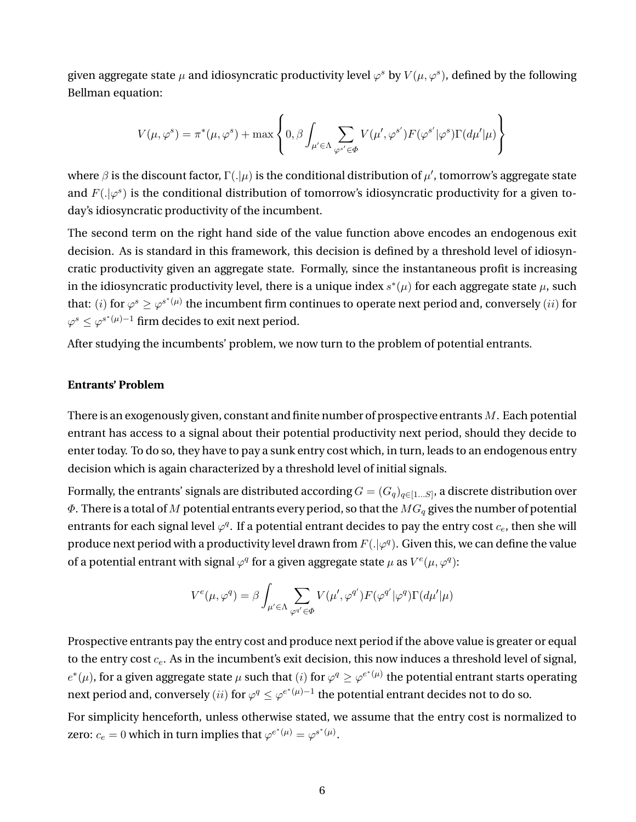given aggregate state  $\mu$  and idiosyncratic productivity level  $\varphi^s$  by  $V(\mu, \varphi^s)$ , defined by the following Bellman equation:

$$
V(\mu, \varphi^s) = \pi^*(\mu, \varphi^s) + \max \left\{ 0, \beta \int_{\mu' \in \Lambda} \sum_{\varphi^{s'} \in \Phi} V(\mu', \varphi^{s'}) F(\varphi^{s'} | \varphi^s) \Gamma(d\mu' | \mu) \right\}
$$

where  $\beta$  is the discount factor,  $\Gamma(.|\mu)$  is the conditional distribution of  $\mu'$ , tomorrow's aggregate state and  $F(.|\varphi^s)$  is the conditional distribution of tomorrow's idiosyncratic productivity for a given today's idiosyncratic productivity of the incumbent.

The second term on the right hand side of the value function above encodes an endogenous exit decision. As is standard in this framework, this decision is defined by a threshold level of idiosyncratic productivity given an aggregate state. Formally, since the instantaneous profit is increasing in the idiosyncratic productivity level, there is a unique index  $s^*(\mu)$  for each aggregate state  $\mu$ , such that: (i) for  $\varphi^s \geq \varphi^{s^*(\mu)}$  the incumbent firm continues to operate next period and, conversely (ii) for  $\varphi^s \leq \varphi^{s^*(\mu)-1}$  firm decides to exit next period.

After studying the incumbents' problem, we now turn to the problem of potential entrants.

#### **Entrants' Problem**

There is an exogenously given, constant and finite number of prospective entrants  $M$ . Each potential entrant has access to a signal about their potential productivity next period, should they decide to enter today. To do so, they have to pay a sunk entry cost which, in turn, leads to an endogenous entry decision which is again characterized by a threshold level of initial signals.

Formally, the entrants' signals are distributed according  $G=(G_q)_{q\in[1...S]}$ , a discrete distribution over  $\Phi$ . There is a total of M potential entrants every period, so that the  $MG_q$  gives the number of potential entrants for each signal level  $\varphi^q$ . If a potential entrant decides to pay the entry cost  $c_e$ , then she will produce next period with a productivity level drawn from  $F(.|\varphi^q).$  Given this, we can define the value of a potential entrant with signal  $\varphi^q$  for a given aggregate state  $\mu$  as  $V^e(\mu, \varphi^q)$ :

$$
V^e(\mu, \varphi^q) = \beta \int_{\mu' \in \Lambda} \sum_{\varphi^{q'} \in \Phi} V(\mu', \varphi^{q'}) F(\varphi^{q'} | \varphi^q) \Gamma(d\mu' | \mu)
$$

Prospective entrants pay the entry cost and produce next period if the above value is greater or equal to the entry cost  $c_e$ . As in the incumbent's exit decision, this now induces a threshold level of signal,  $e^*(\mu)$ , for a given aggregate state  $\mu$  such that  $(i)$  for  $\varphi^q\geq\varphi^{e^*(\mu)}$  the potential entrant starts operating next period and, conversely  $(ii)$  for  $\varphi^q \leq \varphi^{e^*(\mu)-1}$  the potential entrant decides not to do so.

For simplicity henceforth, unless otherwise stated, we assume that the entry cost is normalized to zero:  $c_e = 0$  which in turn implies that  $\varphi^{e^*(\mu)} = \varphi^{s^*(\mu)}$ .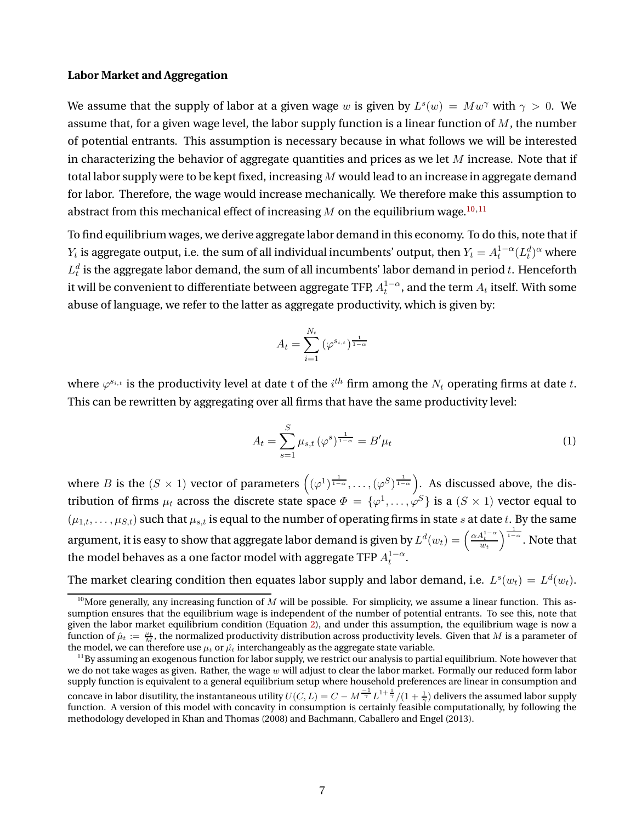#### **Labor Market and Aggregation**

We assume that the supply of labor at a given wage w is given by  $L^s(w) = Mw^{\gamma}$  with  $\gamma > 0$ . We assume that, for a given wage level, the labor supply function is a linear function of  $M$ , the number of potential entrants. This assumption is necessary because in what follows we will be interested in characterizing the behavior of aggregate quantities and prices as we let  $M$  increase. Note that if total labor supply were to be kept fixed, increasing  $M$  would lead to an increase in aggregate demand for labor. Therefore, the wage would increase mechanically. We therefore make this assumption to abstract from this mechanical effect of increasing M on the equilibrium wage.<sup>10,11</sup>

To find equilibrium wages, we derive aggregate labor demand in this economy. To do this, note that if  $Y_t$  is aggregate output, i.e. the sum of all individual incumbents' output, then  $Y_t=A_t^{1-\alpha}(L_t^d)^\alpha$  where  $L_t^d$  is the aggregate labor demand, the sum of all incumbents' labor demand in period  $t.$  Henceforth it will be convenient to differentiate between aggregate TFP,  $A^{1-\alpha}_t$ , and the term  $A_t$  itself. With some abuse of language, we refer to the latter as aggregate productivity, which is given by:

$$
A_t = \sum_{i=1}^{N_t} (\varphi^{s_{i,t}})^{\frac{1}{1-\alpha}}
$$

where  $\varphi^{s_{i,t}}$  is the productivity level at date t of the  $i^{th}$  firm among the  $N_t$  operating firms at date  $t.$ This can be rewritten by aggregating over all firms that have the same productivity level:

$$
A_t = \sum_{s=1}^{S} \mu_{s,t} (\varphi^s)^{\frac{1}{1-\alpha}} = B'\mu_t
$$
 (1)

where B is the  $(S \times 1)$  vector of parameters  $((\varphi^1)^{\frac{1}{1-\alpha}}, \ldots, (\varphi^S)^{\frac{1}{1-\alpha}})$ . As discussed above, the distribution of firms  $\mu_t$  across the discrete state space  $\Phi = \{\varphi^1, \ldots, \varphi^S\}$  is a  $(S \times 1)$  vector equal to  $(\mu_{1,t},\ldots,\mu_{S,t})$  such that  $\mu_{s,t}$  is equal to the number of operating firms in state s at date t. By the same argument, it is easy to show that aggregate labor demand is given by  $L^d(w_t)=\left(\frac{\alpha A_t^{1-\alpha}}{w_t}\right)$  $\int_{1-\alpha}^{\frac{1}{1-\alpha}}$ . Note that the model behaves as a one factor model with aggregate TFP  $A_t^{1-\alpha}.$ 

The market clearing condition then equates labor supply and labor demand, i.e.  $L^s(w_t) = L^d(w_t).$ 

<sup>&</sup>lt;sup>10</sup>More generally, any increasing function of M will be possible. For simplicity, we assume a linear function. This assumption ensures that the equilibrium wage is independent of the number of potential entrants. To see this, note that given the labor market equilibrium condition (Equation 2), and under this assumption, the equilibrium wage is now a function of  $\hat{\mu}_t:=\frac{\mu_t}{M}$ , the normalized productivity distribution across productivity levels. Given that  $M$  is a parameter of the model, we can therefore use  $\mu_t$  or  $\hat{\mu}_t$  interchangeably as the aggregate state variable.

 $11$ By assuming an exogenous function for labor supply, we restrict our analysis to partial equilibrium. Note however that we do not take wages as given. Rather, the wage w will adjust to clear the labor market. Formally our reduced form labor supply function is equivalent to a general equilibrium setup where household preferences are linear in consumption and concave in labor disutility, the instantaneous utility  $U(C, L) = C - M^{-1} L^{1 + \frac{1}{\gamma}}/(1 + \frac{1}{\gamma})$  delivers the assumed labor supply function. A version of this model with concavity in consumption is certainly feasible computationally, by following the methodology developed in Khan and Thomas (2008) and Bachmann, Caballero and Engel (2013).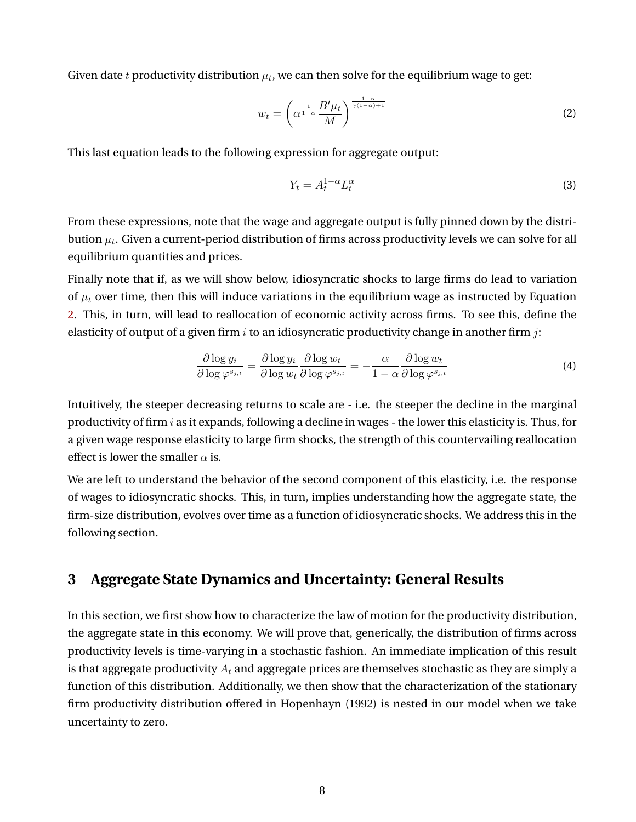Given date  $t$  productivity distribution  $\mu_t$ , we can then solve for the equilibrium wage to get:

$$
w_t = \left(\alpha^{\frac{1}{1-\alpha}} \frac{B'\mu_t}{M}\right)^{\frac{1-\alpha}{\gamma(1-\alpha)+1}}
$$
 (2)

This last equation leads to the following expression for aggregate output:

$$
Y_t = A_t^{1-\alpha} L_t^{\alpha} \tag{3}
$$

From these expressions, note that the wage and aggregate output is fully pinned down by the distribution  $\mu_t.$  Given a current-period distribution of firms across productivity levels we can solve for all equilibrium quantities and prices.

Finally note that if, as we will show below, idiosyncratic shocks to large firms do lead to variation of  $\mu_t$  over time, then this will induce variations in the equilibrium wage as instructed by Equation 2. This, in turn, will lead to reallocation of economic activity across firms. To see this, define the elasticity of output of a given firm i to an idiosyncratic productivity change in another firm  $j$ :

$$
\frac{\partial \log y_i}{\partial \log \varphi^{s_{j,t}}} = \frac{\partial \log y_i}{\partial \log w_t} \frac{\partial \log w_t}{\partial \log \varphi^{s_{j,t}}} = -\frac{\alpha}{1 - \alpha} \frac{\partial \log w_t}{\partial \log \varphi^{s_{j,t}}}
$$
(4)

Intuitively, the steeper decreasing returns to scale are - i.e. the steeper the decline in the marginal productivity of firm  $i$  as it expands, following a decline in wages - the lower this elasticity is. Thus, for a given wage response elasticity to large firm shocks, the strength of this countervailing reallocation effect is lower the smaller  $\alpha$  is.

We are left to understand the behavior of the second component of this elasticity, i.e. the response of wages to idiosyncratic shocks. This, in turn, implies understanding how the aggregate state, the firm-size distribution, evolves over time as a function of idiosyncratic shocks. We address this in the following section.

## **3 Aggregate State Dynamics and Uncertainty: General Results**

In this section, we first show how to characterize the law of motion for the productivity distribution, the aggregate state in this economy. We will prove that, generically, the distribution of firms across productivity levels is time-varying in a stochastic fashion. An immediate implication of this result is that aggregate productivity  $A_t$  and aggregate prices are themselves stochastic as they are simply a function of this distribution. Additionally, we then show that the characterization of the stationary firm productivity distribution offered in Hopenhayn (1992) is nested in our model when we take uncertainty to zero.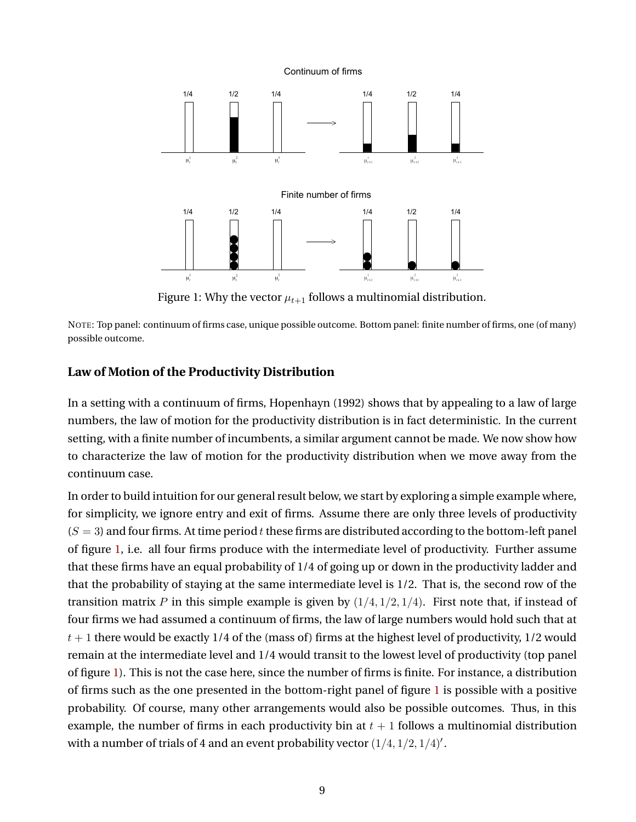

Figure 1: Why the vector  $\mu_{t+1}$  follows a multinomial distribution.

NOTE: Top panel: continuum of firms case, unique possible outcome. Bottom panel: finite number of firms, one (of many) possible outcome.

### **Law of Motion of the Productivity Distribution**

In a setting with a continuum of firms, Hopenhayn (1992) shows that by appealing to a law of large numbers, the law of motion for the productivity distribution is in fact deterministic. In the current setting, with a finite number of incumbents, a similar argument cannot be made. We now show how to characterize the law of motion for the productivity distribution when we move away from the continuum case.

In order to build intuition for our general result below, we start by exploring a simple example where, for simplicity, we ignore entry and exit of firms. Assume there are only three levels of productivity  $(S = 3)$  and four firms. At time period t these firms are distributed according to the bottom-left panel of figure 1, i.e. all four firms produce with the intermediate level of productivity. Further assume that these firms have an equal probability of 1/4 of going up or down in the productivity ladder and that the probability of staying at the same intermediate level is 1/2. That is, the second row of the transition matrix P in this simple example is given by  $(1/4, 1/2, 1/4)$ . First note that, if instead of four firms we had assumed a continuum of firms, the law of large numbers would hold such that at  $t + 1$  there would be exactly 1/4 of the (mass of) firms at the highest level of productivity, 1/2 would remain at the intermediate level and 1/4 would transit to the lowest level of productivity (top panel of figure 1). This is not the case here, since the number of firms is finite. For instance, a distribution of firms such as the one presented in the bottom-right panel of figure 1 is possible with a positive probability. Of course, many other arrangements would also be possible outcomes. Thus, in this example, the number of firms in each productivity bin at  $t + 1$  follows a multinomial distribution with a number of trials of 4 and an event probability vector  $(1/4, 1/2, 1/4)'$ .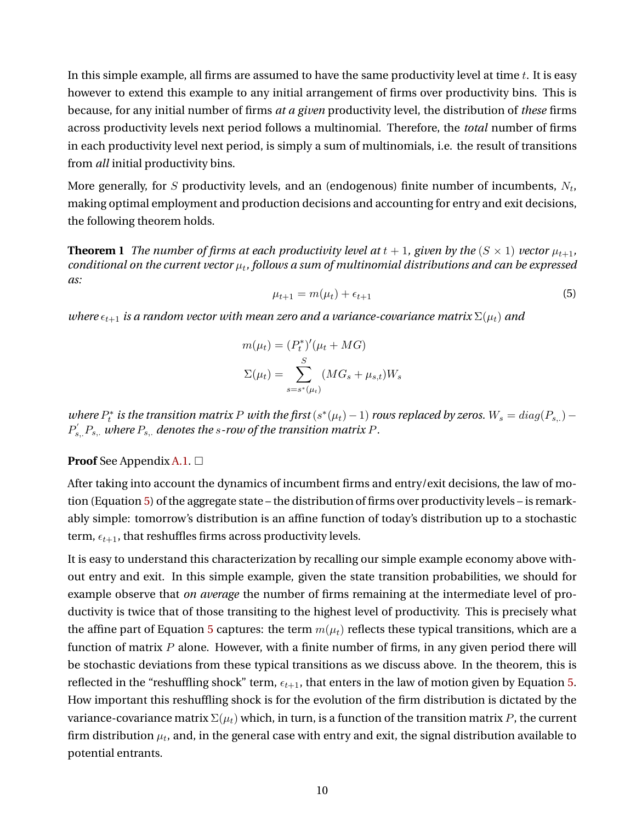In this simple example, all firms are assumed to have the same productivity level at time  $t$ . It is easy however to extend this example to any initial arrangement of firms over productivity bins. This is because, for any initial number of firms *at a given* productivity level, the distribution of *these* firms across productivity levels next period follows a multinomial. Therefore, the *total* number of firms in each productivity level next period, is simply a sum of multinomials, i.e. the result of transitions from *all* initial productivity bins.

More generally, for S productivity levels, and an (endogenous) finite number of incumbents,  $N_t$ , making optimal employment and production decisions and accounting for entry and exit decisions, the following theorem holds.

**Theorem 1** *The number of firms at each productivity level at*  $t + 1$ *, given by the*  $(S \times 1)$  *vector*  $\mu_{t+1}$ *,*  $\emph{conditional on the current vector $\mu_t$, follows a sum of multinomial distributions and can be expressed.}$ *as:*

$$
\mu_{t+1} = m(\mu_t) + \epsilon_{t+1} \tag{5}
$$

*where*  $\epsilon_{t+1}$  *is a random vector with mean zero and a variance-covariance matrix*  $\Sigma(\mu_t)$  *and* 

$$
m(\mu_t) = (P_t^*)'(\mu_t + MG)
$$

$$
\Sigma(\mu_t) = \sum_{s=s^*(\mu_t)}^S (MG_s + \mu_{s,t})W_s
$$

*where*  $P_t^*$  is the transition matrix P with the first (s<sup>\*</sup>( $\mu_t$ ) – 1) rows replaced by zeros.  $W_s = diag(P_{s,.}) -$ P ′ s,.Ps,. *where* Ps,. *denotes the* s*-row of the transition matrix* P*.*

#### **Proof** See Appendix A.1.

After taking into account the dynamics of incumbent firms and entry/exit decisions, the law of motion (Equation 5) of the aggregate state – the distribution of firms over productivity levels – is remarkably simple: tomorrow's distribution is an affine function of today's distribution up to a stochastic term,  $\epsilon_{t+1}$ , that reshuffles firms across productivity levels.

It is easy to understand this characterization by recalling our simple example economy above without entry and exit. In this simple example, given the state transition probabilities, we should for example observe that *on average* the number of firms remaining at the intermediate level of productivity is twice that of those transiting to the highest level of productivity. This is precisely what the affine part of Equation 5 captures: the term  $m(\mu_t)$  reflects these typical transitions, which are a function of matrix  $P$  alone. However, with a finite number of firms, in any given period there will be stochastic deviations from these typical transitions as we discuss above. In the theorem, this is reflected in the "reshuffling shock" term,  $\epsilon_{t+1}$ , that enters in the law of motion given by Equation 5. How important this reshuffling shock is for the evolution of the firm distribution is dictated by the variance-covariance matrix  $\Sigma(\mu_t)$  which, in turn, is a function of the transition matrix P, the current firm distribution  $\mu_t$ , and, in the general case with entry and exit, the signal distribution available to potential entrants.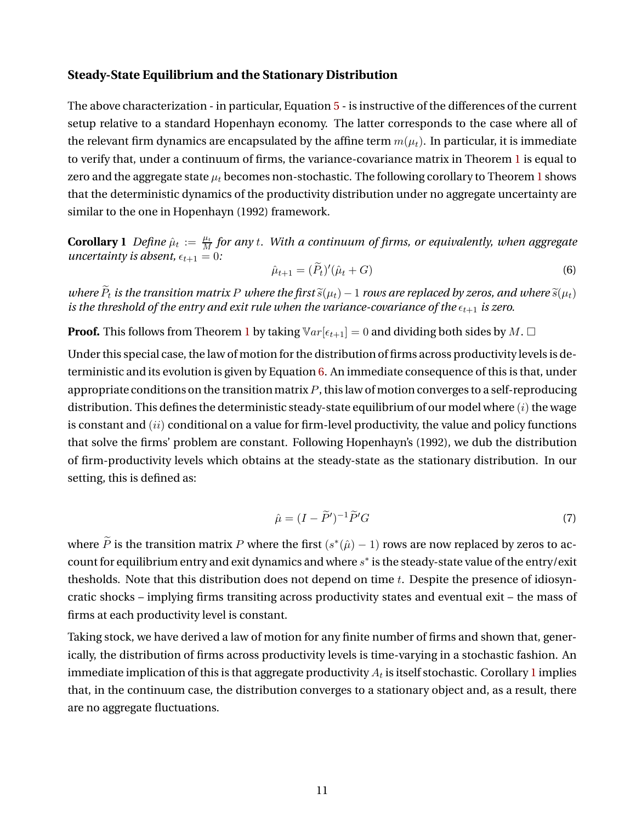### **Steady-State Equilibrium and the Stationary Distribution**

The above characterization - in particular, Equation 5 - is instructive of the differences of the current setup relative to a standard Hopenhayn economy. The latter corresponds to the case where all of the relevant firm dynamics are encapsulated by the affine term  $m(\mu_t)$ . In particular, it is immediate to verify that, under a continuum of firms, the variance-covariance matrix in Theorem 1 is equal to zero and the aggregate state  $\mu_t$  becomes non-stochastic. The following corollary to Theorem 1 shows that the deterministic dynamics of the productivity distribution under no aggregate uncertainty are similar to the one in Hopenhayn (1992) framework.

**Corollary 1** Define  $\hat{\mu}_t := \frac{\mu_t}{M}$  for any t. With a continuum of firms, or equivalently, when aggregate *uncertainty is absent,*  $\epsilon_{t+1} = 0$ *:* 

$$
\hat{\mu}_{t+1} = (\tilde{P}_t)'(\hat{\mu}_t + G) \tag{6}
$$

*where*  $\widetilde{P}_t$  *is the transition matrix* P *where the first*  $\widetilde{s}(\mu_t) - 1$  *rows are replaced by zeros, and where*  $\widetilde{s}(\mu_t)$ *is the threshold of the entry and exit rule when the variance-covariance of the*  $\epsilon_{t+1}$  *is zero.* 

**Proof.** This follows from Theorem 1 by taking  $\mathbb{V}ar[\epsilon_{t+1}] = 0$  and dividing both sides by M.  $\Box$ 

Under this special case, the law of motion for the distribution of firms across productivity levels is deterministic and its evolution is given by Equation 6. An immediate consequence of this is that, under appropriate conditions on the transition matrix  $P$ , this law of motion converges to a self-reproducing distribution. This defines the deterministic steady-state equilibrium of our model where  $(i)$  the wage is constant and  $(ii)$  conditional on a value for firm-level productivity, the value and policy functions that solve the firms' problem are constant. Following Hopenhayn's (1992), we dub the distribution of firm-productivity levels which obtains at the steady-state as the stationary distribution. In our setting, this is defined as:

$$
\hat{\mu} = (I - \tilde{P}')^{-1} \tilde{P}' G \tag{7}
$$

where  $P$  is the transition matrix  $P$  where the first  $(s^*(\hat{\mu})-1)$  rows are now replaced by zeros to account for equilibrium entry and exit dynamics and where  $s^*$  is the steady-state value of the entry/exit thesholds. Note that this distribution does not depend on time  $t$ . Despite the presence of idiosyncratic shocks – implying firms transiting across productivity states and eventual exit – the mass of firms at each productivity level is constant.

Taking stock, we have derived a law of motion for any finite number of firms and shown that, generically, the distribution of firms across productivity levels is time-varying in a stochastic fashion. An immediate implication of this is that aggregate productivity  $A_t$  is itself stochastic. Corollary 1 implies that, in the continuum case, the distribution converges to a stationary object and, as a result, there are no aggregate fluctuations.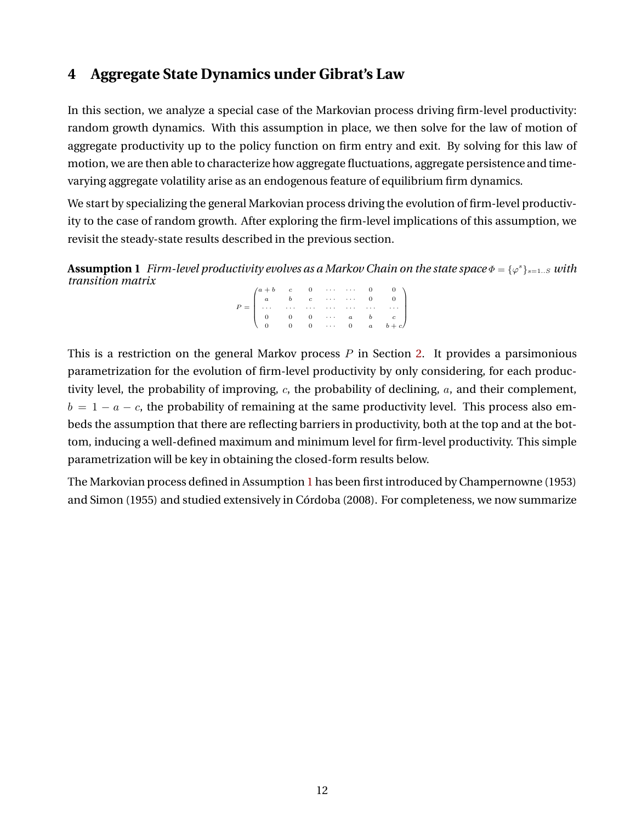# **4 Aggregate State Dynamics under Gibrat's Law**

In this section, we analyze a special case of the Markovian process driving firm-level productivity: random growth dynamics. With this assumption in place, we then solve for the law of motion of aggregate productivity up to the policy function on firm entry and exit. By solving for this law of motion, we are then able to characterize how aggregate fluctuations, aggregate persistence and timevarying aggregate volatility arise as an endogenous feature of equilibrium firm dynamics.

We start by specializing the general Markovian process driving the evolution of firm-level productivity to the case of random growth. After exploring the firm-level implications of this assumption, we revisit the steady-state results described in the previous section.

 ${\bf Assumption~1}~~Firm-level~productivity~evolves~as~a~Markov~Chain~on~the~state~space~ \Phi=\{\varphi^s\}_{s=1..S}~with$ *transition matrix*

|  |  |  | $P = \begin{pmatrix} a+b & c & 0 & \cdots & \cdots & 0 & 0 \\ a & b & c & \cdots & \cdots & 0 & 0 \\ \cdots & \cdots & \cdots & \cdots & \cdots & \cdots & \cdots \end{pmatrix}$ |
|--|--|--|----------------------------------------------------------------------------------------------------------------------------------------------------------------------------------|
|  |  |  |                                                                                                                                                                                  |
|  |  |  | $\begin{bmatrix} 0 & 0 & \cdots & a & b & c \\ 0 & 0 & \cdots & 0 & a & b+c \end{bmatrix}$                                                                                       |
|  |  |  |                                                                                                                                                                                  |

This is a restriction on the general Markov process  $P$  in Section 2. It provides a parsimonious parametrization for the evolution of firm-level productivity by only considering, for each productivity level, the probability of improving,  $c$ , the probability of declining,  $a$ , and their complement,  $b = 1 - a - c$ , the probability of remaining at the same productivity level. This process also embeds the assumption that there are reflecting barriers in productivity, both at the top and at the bottom, inducing a well-defined maximum and minimum level for firm-level productivity. This simple parametrization will be key in obtaining the closed-form results below.

The Markovian process defined in Assumption 1 has been first introduced by Champernowne (1953) and Simon (1955) and studied extensively in Córdoba (2008). For completeness, we now summarize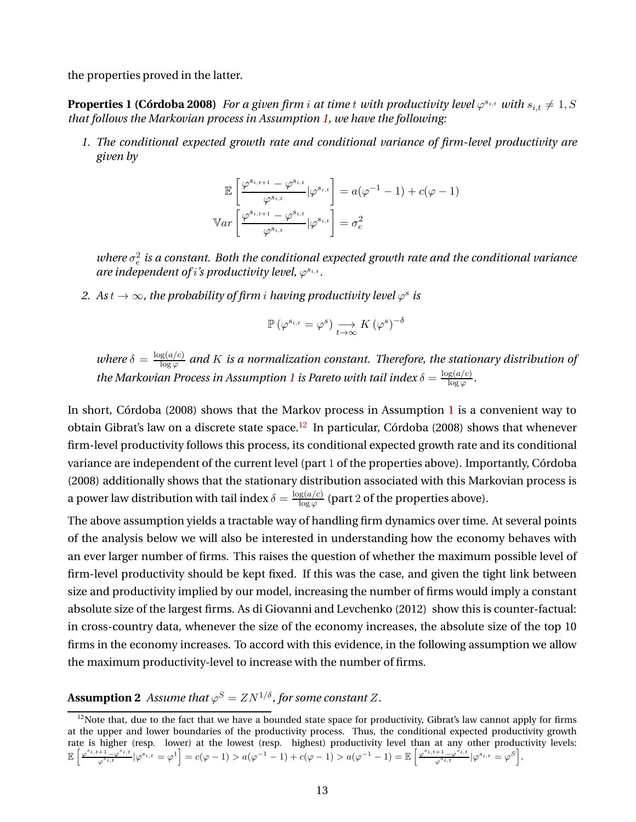the properties proved in the latter.

**Properties 1 (Córdoba 2008)** For a given firm i at time t with productivity level  $\varphi^{s_{i,t}}$  with  $s_{i,t} \neq 1, S$ *that follows the Markovian process in Assumption 1, we have the following:*

*1. The conditional expected growth rate and conditional variance of firm-level productivity are given by*

$$
\mathbb{E}\left[\frac{\varphi^{s_{i,t+1}} - \varphi^{s_{i,t}}}{\varphi^{s_{i,t}}}| \varphi^{s_{i,t}}\right] = a(\varphi^{-1} - 1) + c(\varphi - 1)
$$
  

$$
\mathbb{V}ar\left[\frac{\varphi^{s_{i,t+1}} - \varphi^{s_{i,t}}}{\varphi^{s_{i,t}}}| \varphi^{s_{i,t}}\right] = \sigma_e^2
$$

where  $\sigma_e^2$  is a constant. Both the conditional expected growth rate and the conditional variance are independent of *i*'s productivity level,  $\varphi^{s_{i,t}}$ .

2. As  $t\rightarrow\infty$ , the probability of firm  $i$  having productivity level  $\varphi^s$  is

$$
\mathbb{P}\left(\varphi^{s_{i,t}}=\varphi^s\right) \underset{t\to\infty}{\longrightarrow} K\left(\varphi^s\right)^{-\delta}
$$

*where*  $\delta = \frac{\log(a/c)}{\log(a)}$  $\frac{\mathbb{B}(a/c)}{\log \varphi}$  and  $K$  is a normalization constant. Therefore, the stationary distribution of *the Markovian Process in Assumption 1 is Pareto with tail index*  $\delta = \frac{\log(a/c)}{\log(a)}$  $\frac{\log(a/c)}{\log\varphi}$ .

In short, Córdoba (2008) shows that the Markov process in Assumption 1 is a convenient way to obtain Gibrat's law on a discrete state space.<sup>12</sup> In particular, Córdoba (2008) shows that whenever firm-level productivity follows this process, its conditional expected growth rate and its conditional variance are independent of the current level (part 1 of the properties above). Importantly, Córdoba (2008) additionally shows that the stationary distribution associated with this Markovian process is a power law distribution with tail index  $\delta = \frac{\log(a/c)}{\log(a)}$  $\frac{\mathrm{g}(a/c)}{\log \varphi}$  (part  $2$  of the properties above).

The above assumption yields a tractable way of handling firm dynamics over time. At several points of the analysis below we will also be interested in understanding how the economy behaves with an ever larger number of firms. This raises the question of whether the maximum possible level of firm-level productivity should be kept fixed. If this was the case, and given the tight link between size and productivity implied by our model, increasing the number of firms would imply a constant absolute size of the largest firms. As di Giovanni and Levchenko (2012) show this is counter-factual: in cross-country data, whenever the size of the economy increases, the absolute size of the top 10 firms in the economy increases. To accord with this evidence, in the following assumption we allow the maximum productivity-level to increase with the number of firms.

### ${\bf Assumption ~2} ~ \textit{Assume that } \varphi^{S} = ZN^{1/\delta}, \textit{for some constant $Z$}.$

 $12$ Note that, due to the fact that we have a bounded state space for productivity, Gibrat's law cannot apply for firms at the upper and lower boundaries of the productivity process. Thus, the conditional expected productivity growth rate is higher (resp. lower) at the lowest (resp. highest) productivity level than at any other productivity levels:  $\mathbb{E}\left[\frac{\varphi^{s_{i,t+1}}-\varphi^{s_{i,t}}}{s_{i,t}}\right]$  $\left. \begin{array}{l} \frac{1}{\varphi^{s_{i,t}}} | \varphi^{s_{i,t}} = \varphi^{1} \end{array} \right| = c(\varphi - 1) > a(\varphi^{-1} - 1) + c(\varphi - 1) > a(\varphi^{-1} - 1) = \mathbb{E} \left[ \frac{\varphi^{s_{i,t+1}} - \varphi^{s_{i,t+1}}}{\varphi^{s_{i,t}}} \right]$  $\frac{+1-\varphi^{s}i,t}{\varphi^{s}i,t}|\varphi^{s}i,t}=\varphi^{S}\Big].$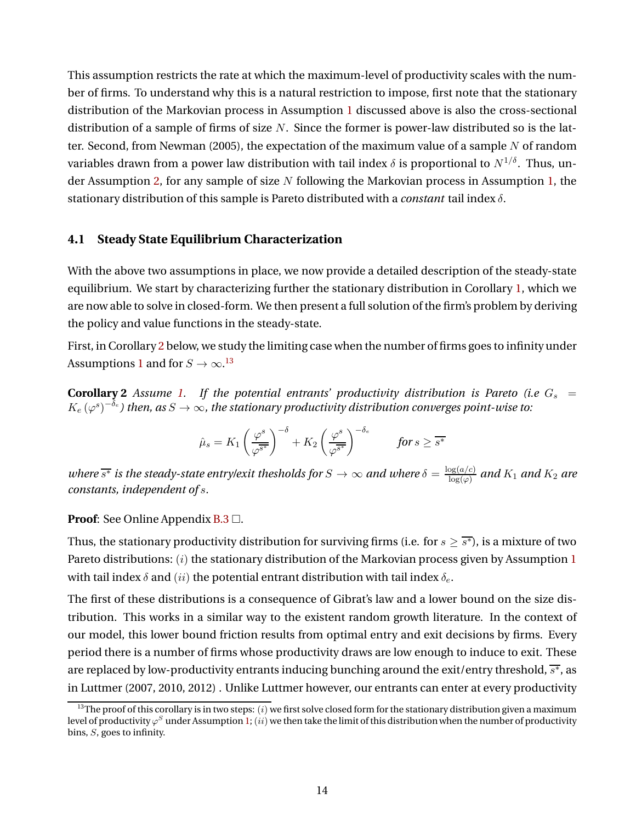This assumption restricts the rate at which the maximum-level of productivity scales with the number of firms. To understand why this is a natural restriction to impose, first note that the stationary distribution of the Markovian process in Assumption 1 discussed above is also the cross-sectional distribution of a sample of firms of size  $N$ . Since the former is power-law distributed so is the latter. Second, from Newman (2005), the expectation of the maximum value of a sample  $N$  of random variables drawn from a power law distribution with tail index  $\delta$  is proportional to  $N^{1/\delta}$ . Thus, under Assumption 2, for any sample of size  $N$  following the Markovian process in Assumption 1, the stationary distribution of this sample is Pareto distributed with a *constant* tail index δ.

### **4.1 Steady State Equilibrium Characterization**

With the above two assumptions in place, we now provide a detailed description of the steady-state equilibrium. We start by characterizing further the stationary distribution in Corollary 1, which we are now able to solve in closed-form. We then present a full solution of the firm's problem by deriving the policy and value functions in the steady-state.

First, in Corollary 2 below, we study the limiting case when the number of firms goes to infinity under Assumptions 1 and for  $S \to \infty$ .<sup>13</sup>

**Corollary 2** Assume 1. If the potential entrants' productivity distribution is Pareto (i.e  $G_s$  =  $K_e\left(\varphi^s\right)^{-\delta_e}$ ) then, as  $S\to\infty$ , the stationary productivity distribution converges point-wise to:

$$
\hat{\mu}_s = K_1 \left(\frac{\varphi^s}{\varphi^s}\right)^{-\delta} + K_2 \left(\frac{\varphi^s}{\varphi^s}\right)^{-\delta_e} \qquad \text{for } s \ge \overline{s^*}
$$

*where*  $\overline{s^*}$  *is the steady-state entrylexit thesholds for*  $S \to \infty$  *and where*  $\delta = \frac{\log(a/c)}{\log(\varphi)}$  $\frac{\log(d/C)}{\log(\varphi)}$  and  $K_1$  and  $K_2$  are *constants, independent of* s*.*

#### **Proof**: See Online Appendix  $B.3 \square$ .

Thus, the stationary productivity distribution for surviving firms (i.e. for  $s \ge \overline{s^*}$ ), is a mixture of two Pareto distributions:  $(i)$  the stationary distribution of the Markovian process given by Assumption 1 with tail index  $\delta$  and  $(ii)$  the potential entrant distribution with tail index  $\delta_e$ .

The first of these distributions is a consequence of Gibrat's law and a lower bound on the size distribution. This works in a similar way to the existent random growth literature. In the context of our model, this lower bound friction results from optimal entry and exit decisions by firms. Every period there is a number of firms whose productivity draws are low enough to induce to exit. These are replaced by low-productivity entrants inducing bunching around the exit/entry threshold,  $\overline{s^*}$ , as in Luttmer (2007, 2010, 2012) . Unlike Luttmer however, our entrants can enter at every productivity

<sup>&</sup>lt;sup>13</sup>The proof of this corollary is in two steps:  $(i)$  we first solve closed form for the stationary distribution given a maximum level of productivity  $\varphi^S$  under Assumption 1;  $(ii)$  we then take the limit of this distribution when the number of productivity bins, S, goes to infinity.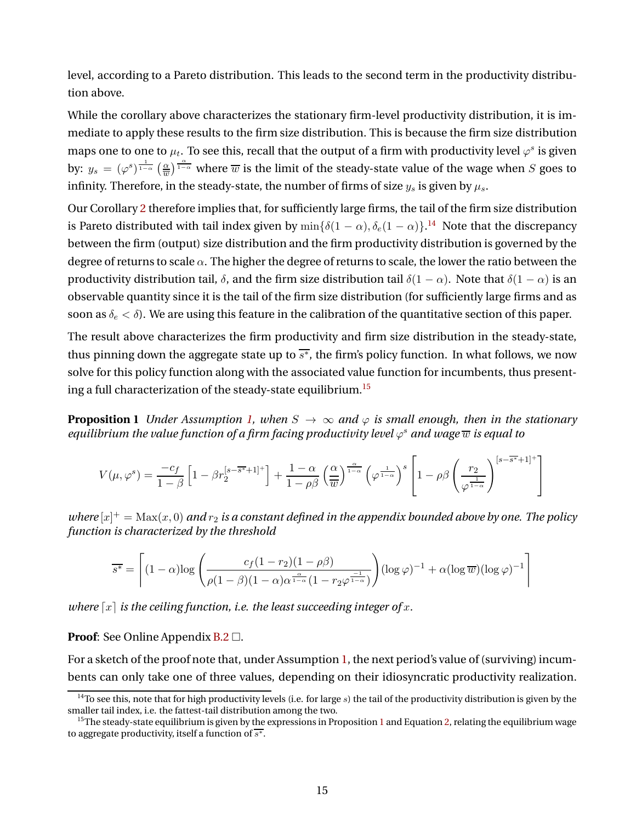level, according to a Pareto distribution. This leads to the second term in the productivity distribution above.

While the corollary above characterizes the stationary firm-level productivity distribution, it is immediate to apply these results to the firm size distribution. This is because the firm size distribution maps one to one to  $\mu_t.$  To see this, recall that the output of a firm with productivity level  $\varphi^s$  is given by:  $y_s = (\varphi^s)^{\frac{1}{1-\alpha}} \left(\frac{\alpha}{\overline{w}}\right)$  $\frac{\alpha}{\overline{w}}\big)^{\frac{\alpha}{1-\alpha}}$  where  $\overline{w}$  is the limit of the steady-state value of the wage when  $S$  goes to infinity. Therefore, in the steady-state, the number of firms of size  $y_s$  is given by  $\mu_s$ .

Our Corollary 2 therefore implies that, for sufficiently large firms, the tail of the firm size distribution is Pareto distributed with tail index given by  $\min\{\delta(1-\alpha),\delta_e(1-\alpha)\}.^{14}$  Note that the discrepancy between the firm (output) size distribution and the firm productivity distribution is governed by the degree of returns to scale  $\alpha$ . The higher the degree of returns to scale, the lower the ratio between the productivity distribution tail,  $\delta$ , and the firm size distribution tail  $\delta(1-\alpha)$ . Note that  $\delta(1-\alpha)$  is an observable quantity since it is the tail of the firm size distribution (for sufficiently large firms and as soon as  $\delta_e < \delta$ ). We are using this feature in the calibration of the quantitative section of this paper.

The result above characterizes the firm productivity and firm size distribution in the steady-state, thus pinning down the aggregate state up to  $\overline{s^*}$ , the firm's policy function. In what follows, we now solve for this policy function along with the associated value function for incumbents, thus presenting a full characterization of the steady-state equilibrium.<sup>15</sup>

**Proposition 1** *Under Assumption 1, when*  $S \to \infty$  *and*  $\varphi$  *is small enough, then in the stationary equilibrium the value function of a firm facing productivity level*  $\varphi^s$  and wage  $\overline{w}$  is equal to

$$
V(\mu, \varphi^s) = \frac{-c_f}{1-\beta} \left[1 - \beta r_2^{[s-\overline{s^*}+1]^+}\right] + \frac{1-\alpha}{1-\rho\beta} \left(\frac{\alpha}{\overline{w}}\right)^{\frac{\alpha}{1-\alpha}} \left(\varphi^{\frac{1}{1-\alpha}}\right)^s \left[1 - \rho\beta \left(\frac{r_2}{\varphi^{\frac{1}{1-\alpha}}}\right)^{[s-\overline{s^*}+1]^+}\right]
$$

where  $[x]^+$  =  $\text{Max}(x, 0)$  and  $r_2$  is a constant defined in the appendix bounded above by one. The policy *function is characterized by the threshold*

$$
\overline{s^*} = \left\lceil (1-\alpha)\log\left(\frac{c_f(1-r_2)(1-\rho\beta)}{\rho(1-\beta)(1-\alpha)\alpha^{\frac{\alpha}{1-\alpha}}(1-r_2\varphi^{\frac{-1}{1-\alpha}})}\right)(\log \varphi)^{-1} + \alpha(\log \overline{w})(\log \varphi)^{-1}\right\rceil
$$

*where*  $\lceil x \rceil$  *is the ceiling function, i.e. the least succeeding integer of x.* 

**Proof**: See Online Appendix  $B.2 \square$ .

For a sketch of the proof note that, under Assumption 1, the next period's value of (surviving) incumbents can only take one of three values, depending on their idiosyncratic productivity realization.

<sup>&</sup>lt;sup>14</sup>To see this, note that for high productivity levels (i.e. for large s) the tail of the productivity distribution is given by the smaller tail index, i.e. the fattest-tail distribution among the two.

 $15$ The steady-state equilibrium is given by the expressions in Proposition 1 and Equation 2, relating the equilibrium wage to aggregate productivity, itself a function of  $\overline{s^*}.$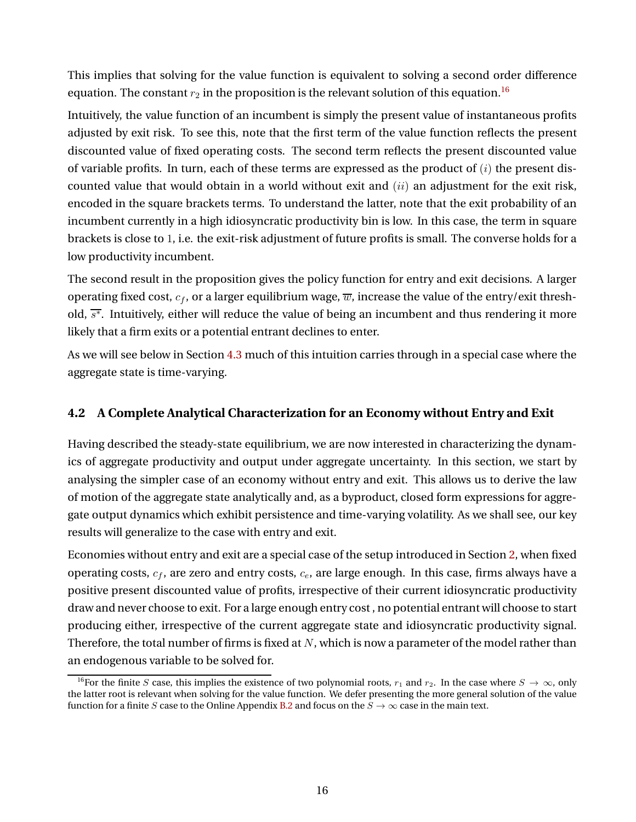This implies that solving for the value function is equivalent to solving a second order difference equation. The constant  $r_2$  in the proposition is the relevant solution of this equation.  $^{16}$ 

Intuitively, the value function of an incumbent is simply the present value of instantaneous profits adjusted by exit risk. To see this, note that the first term of the value function reflects the present discounted value of fixed operating costs. The second term reflects the present discounted value of variable profits. In turn, each of these terms are expressed as the product of  $(i)$  the present discounted value that would obtain in a world without exit and  $(ii)$  an adjustment for the exit risk, encoded in the square brackets terms. To understand the latter, note that the exit probability of an incumbent currently in a high idiosyncratic productivity bin is low. In this case, the term in square brackets is close to 1, i.e. the exit-risk adjustment of future profits is small. The converse holds for a low productivity incumbent.

The second result in the proposition gives the policy function for entry and exit decisions. A larger operating fixed cost,  $c_f$ , or a larger equilibrium wage,  $\overline{w}$ , increase the value of the entry/exit threshold,  $\overline{s^*}$ . Intuitively, either will reduce the value of being an incumbent and thus rendering it more likely that a firm exits or a potential entrant declines to enter.

As we will see below in Section 4.3 much of this intuition carries through in a special case where the aggregate state is time-varying.

### **4.2 A Complete Analytical Characterization for an Economy without Entry and Exit**

Having described the steady-state equilibrium, we are now interested in characterizing the dynamics of aggregate productivity and output under aggregate uncertainty. In this section, we start by analysing the simpler case of an economy without entry and exit. This allows us to derive the law of motion of the aggregate state analytically and, as a byproduct, closed form expressions for aggregate output dynamics which exhibit persistence and time-varying volatility. As we shall see, our key results will generalize to the case with entry and exit.

Economies without entry and exit are a special case of the setup introduced in Section 2, when fixed operating costs,  $c_f$ , are zero and entry costs,  $c_e$ , are large enough. In this case, firms always have a positive present discounted value of profits, irrespective of their current idiosyncratic productivity draw and never choose to exit. For a large enough entry cost , no potential entrant will choose to start producing either, irrespective of the current aggregate state and idiosyncratic productivity signal. Therefore, the total number of firms is fixed at  $N$ , which is now a parameter of the model rather than an endogenous variable to be solved for.

<sup>&</sup>lt;sup>16</sup>For the finite S case, this implies the existence of two polynomial roots,  $r_1$  and  $r_2$ . In the case where  $S \to \infty$ , only the latter root is relevant when solving for the value function. We defer presenting the more general solution of the value function for a finite S case to the Online Appendix B.2 and focus on the  $S \to \infty$  case in the main text.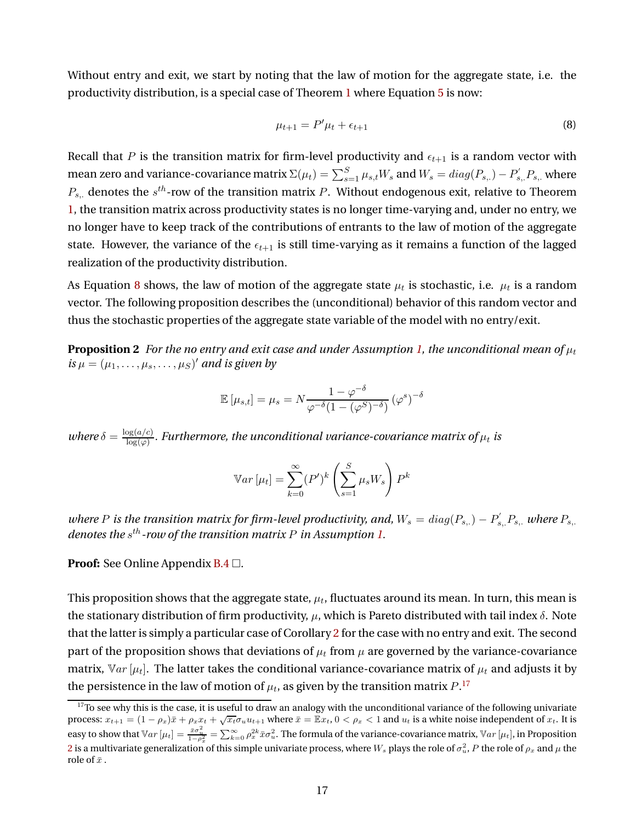Without entry and exit, we start by noting that the law of motion for the aggregate state, i.e. the productivity distribution, is a special case of Theorem 1 where Equation 5 is now:

$$
\mu_{t+1} = P'\mu_t + \epsilon_{t+1} \tag{8}
$$

Recall that P is the transition matrix for firm-level productivity and  $\epsilon_{t+1}$  is a random vector with mean zero and variance-covariance matrix  $\Sigma(\mu_t)=\sum_{s=1}^S\mu_{s,t}W_s$  and  $W_s=diag(P_{s,.})-P_{s,.}^{'}P_{s,.}$  where  $P_{s}$ , denotes the  $s^{th}$ -row of the transition matrix P. Without endogenous exit, relative to Theorem 1, the transition matrix across productivity states is no longer time-varying and, under no entry, we no longer have to keep track of the contributions of entrants to the law of motion of the aggregate state. However, the variance of the  $\epsilon_{t+1}$  is still time-varying as it remains a function of the lagged realization of the productivity distribution.

As Equation 8 shows, the law of motion of the aggregate state  $\mu_t$  is stochastic, i.e.  $\,\mu_t$  is a random vector. The following proposition describes the (unconditional) behavior of this random vector and thus the stochastic properties of the aggregate state variable of the model with no entry/exit.

**Proposition 2** *For the no entry and exit case and under Assumption 1, the unconditional mean of*  $\mu_t$  $\boldsymbol{i}$ s $\mu = (\mu_1, \dots, \mu_s, \dots, \mu_S)'$  and is given by

$$
\mathbb{E}[\mu_{s,t}] = \mu_s = N \frac{1 - \varphi^{-\delta}}{\varphi^{-\delta} (1 - (\varphi^S)^{-\delta})} (\varphi^s)^{-\delta}
$$

*where*  $\delta = \frac{\log(a/c)}{\log(a)}$  $\frac{\log(a/c)}{\log(\varphi)}$  . Furthermore, the unconditional variance-covariance matrix of  $\mu_t$  is

$$
\mathbb{V}ar\left[\mu_t\right] = \sum_{k=0}^{\infty} (P')^k \left(\sum_{s=1}^{S} \mu_s W_s\right) P^k
$$

*where* P is the transition matrix for firm-level productivity, and,  $W_s = diag(P_{s,.)} - P'_{s,.} P_{s,.}$  where  $P_{s,.}$ *denotes the* s th*-row of the transition matrix* P *in Assumption 1.*

**Proof:** See Online Appendix  $B.4 \square$ .

This proposition shows that the aggregate state,  $\mu_t$ , fluctuates around its mean. In turn, this mean is the stationary distribution of firm productivity,  $\mu$ , which is Pareto distributed with tail index  $\delta$ . Note that the latter is simply a particular case of Corollary 2 for the case with no entry and exit. The second part of the proposition shows that deviations of  $\mu_t$  from  $\mu$  are governed by the variance-covariance matrix,  $\mathbb{V}ar\left[ \mu_t \right]$ . The latter takes the conditional variance-covariance matrix of  $\mu_t$  and adjusts it by the persistence in the law of motion of  $\mu_t$ , as given by the transition matrix  $P$ .<sup>17</sup>

 $17$ To see why this is the case, it is useful to draw an analogy with the unconditional variance of the following univariate process:  $x_{t+1} = (1 - \rho_x)\bar{x} + \rho_x x_t + \sqrt{x_t} \sigma_u u_{t+1}$  where  $\bar{x} = \mathbb{E}x_t$ ,  $0 < \rho_x < 1$  and  $u_t$  is a white noise independent of  $x_t$ . It is easy to show that  $\mathbb{V}ar\left[\mu_t\right] = \frac{\bar{x}\sigma_u^2}{1-\rho_x^2} = \sum_{k=0}^{\infty} \rho_x^{2k} \bar{x}\sigma_u^2$ . The formula of the variance-covariance matrix,  $\mathbb{V}ar\left[\mu_t\right]$ , in Proposition 2 is a multivariate generalization of this simple univariate process, where  $W_s$  plays the role of  $\sigma_u^2$ ,  $P$  the role of  $\rho_x$  and  $\mu$  the role of  $\bar{x}$ .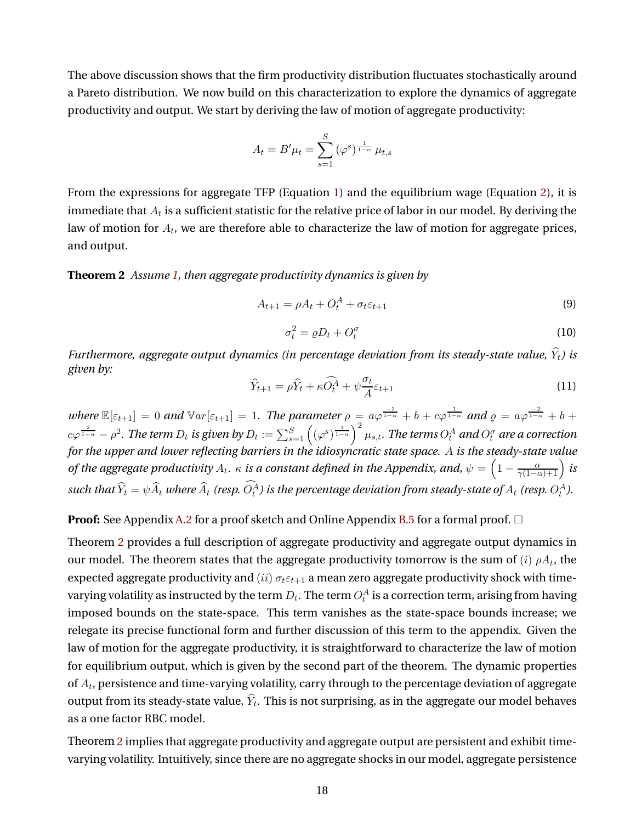The above discussion shows that the firm productivity distribution fluctuates stochastically around a Pareto distribution. We now build on this characterization to explore the dynamics of aggregate productivity and output. We start by deriving the law of motion of aggregate productivity:

$$
A_t = B'\mu_t = \sum_{s=1}^{S} (\varphi^s)^{\frac{1}{1-\alpha}} \mu_{t,s}
$$

From the expressions for aggregate TFP (Equation 1) and the equilibrium wage (Equation 2), it is immediate that  $A_t$  is a sufficient statistic for the relative price of labor in our model. By deriving the law of motion for  $A_t$ , we are therefore able to characterize the law of motion for aggregate prices, and output.

**Theorem 2** *Assume 1, then aggregate productivity dynamics is given by*

$$
A_{t+1} = \rho A_t + O_t^A + \sigma_t \varepsilon_{t+1} \tag{9}
$$

$$
\sigma_t^2 = \varrho D_t + O_t^{\sigma} \tag{10}
$$

*Furthermore, aggregate output dynamics (in percentage deviation from its steady-state value,*  $\hat{Y}_t$ *) is given by:*

$$
\widehat{Y}_{t+1} = \rho \widehat{Y}_t + \kappa \widehat{O}_t^A + \psi \frac{\sigma_t}{A} \varepsilon_{t+1} \tag{11}
$$

 $where \mathbb{E}[\varepsilon_{t+1}] = 0$  and  $\mathbb{V}ar[\varepsilon_{t+1}] = 1$ . The parameter  $\rho = a\varphi^{\frac{-1}{1-\alpha}} + b + c\varphi^{\frac{1}{1-\alpha}}$  and  $\varrho = a\varphi^{\frac{-2}{1-\alpha}} + b + c\varphi^{\frac{-2}{1-\alpha}}$  $c\varphi^{\frac{2}{1-\alpha}}-\rho^2.$  The term  $D_t$  is given by  $D_t:=\sum_{s=1}^S\left((\varphi^s)^{\frac{1}{1-\alpha}}\right)^2\mu_{s,t}.$  The terms  $O_t^A$  and  $O_t^\sigma$  are a correction *for the upper and lower reflecting barriers in the idiosyncratic state space.* A *is the steady-state value of the aggregate productivity*  $A_t$ .  $\kappa$  *is a constant defined in the Appendix, and,*  $\psi = \left(1 - \frac{\alpha}{\gamma(1-\alpha)+1}\right)$  *is*  $such that \ \hat{Y}_t = \psi \widehat{A}_t$  where  $\widehat{A}_t$  (resp.  $O_t^A$ ) is the percentage deviation from steady-state of  $A_t$  (resp.  $O_t^A$ ).

**Proof:** See Appendix A.2 for a proof sketch and Online Appendix B.5 for a formal proof.  $\Box$ 

Theorem 2 provides a full description of aggregate productivity and aggregate output dynamics in our model. The theorem states that the aggregate productivity tomorrow is the sum of  $(i)$   $\rho A_t$ , the expected aggregate productivity and  $(ii)$   $\sigma_t \epsilon_{t+1}$  a mean zero aggregate productivity shock with timevarying volatility as instructed by the term  $D_t.$  The term  $O_t^A$  is a correction term, arising from having imposed bounds on the state-space. This term vanishes as the state-space bounds increase; we relegate its precise functional form and further discussion of this term to the appendix. Given the law of motion for the aggregate productivity, it is straightforward to characterize the law of motion for equilibrium output, which is given by the second part of the theorem. The dynamic properties of  $A_t$ , persistence and time-varying volatility, carry through to the percentage deviation of aggregate output from its steady-state value,  $Y_t$ . This is not surprising, as in the aggregate our model behaves as a one factor RBC model.

Theorem 2 implies that aggregate productivity and aggregate output are persistent and exhibit timevarying volatility. Intuitively, since there are no aggregate shocks in our model, aggregate persistence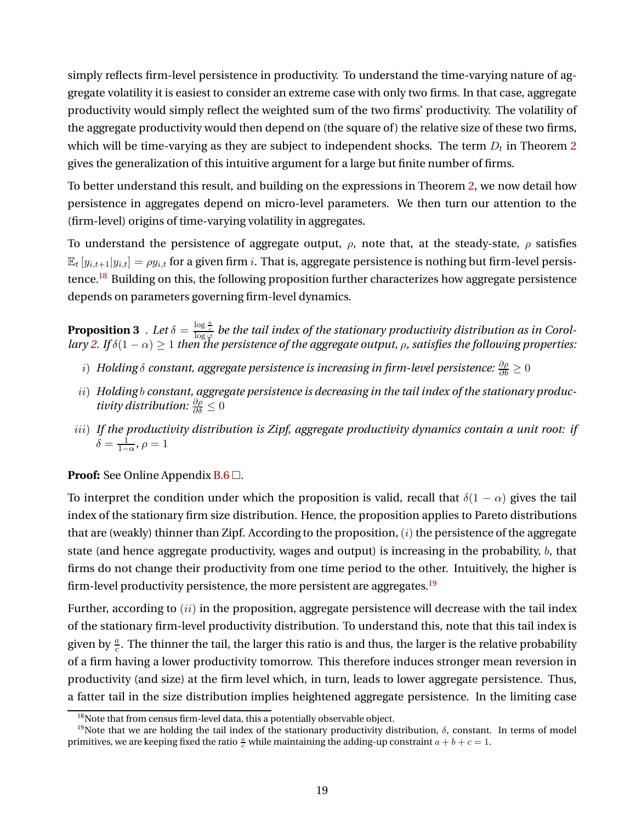simply reflects firm-level persistence in productivity. To understand the time-varying nature of aggregate volatility it is easiest to consider an extreme case with only two firms. In that case, aggregate productivity would simply reflect the weighted sum of the two firms' productivity. The volatility of the aggregate productivity would then depend on (the square of ) the relative size of these two firms, which will be time-varying as they are subject to independent shocks. The term  $D_t$  in Theorem 2 gives the generalization of this intuitive argument for a large but finite number of firms.

To better understand this result, and building on the expressions in Theorem 2, we now detail how persistence in aggregates depend on micro-level parameters. We then turn our attention to the (firm-level) origins of time-varying volatility in aggregates.

To understand the persistence of aggregate output,  $\rho$ , note that, at the steady-state,  $\rho$  satisfies  $\mathbb{E}_t\left[y_{i,t+1}|y_{i,t}\right] = \rho y_{i,t}$  for a given firm  $i.$  That is, aggregate persistence is nothing but firm-level persistence.<sup>18</sup> Building on this, the following proposition further characterizes how aggregate persistence depends on parameters governing firm-level dynamics.

**Proposition 3** . Let  $\delta = \frac{\log \frac{a}{c}}{\log \varphi}$  be the tail index of the stationary productivity distribution as in Corol*lary 2. If*  $\delta(1-\alpha) \geq 1$  *then the persistence of the aggregate output,*  $\rho$ *, satisfies the following properties:* 

- i)  $\,$  *Holding*  $\delta$  *constant, aggregate persistence is increasing in firm-level persistence:*  $\frac{\partial \rho}{\partial b} \geq 0$
- ii) Holding *b* constant, aggregate persistence is decreasing in the tail index of the stationary produc*tivity distribution:*  $\frac{\partial \rho}{\partial \delta} \leq 0$
- iii) *If the productivity distribution is Zipf, aggregate productivity dynamics contain a unit root: if*  $\delta = \frac{1}{1-}$  $\frac{1}{1-\alpha}$ ,  $\rho = 1$

**Proof:** See Online Appendix  $B.6 \square$ .

To interpret the condition under which the proposition is valid, recall that  $\delta(1-\alpha)$  gives the tail index of the stationary firm size distribution. Hence, the proposition applies to Pareto distributions that are (weakly) thinner than Zipf. According to the proposition,  $(i)$  the persistence of the aggregate state (and hence aggregate productivity, wages and output) is increasing in the probability, b, that firms do not change their productivity from one time period to the other. Intuitively, the higher is firm-level productivity persistence, the more persistent are aggregates.<sup>19</sup>

Further, according to  $(ii)$  in the proposition, aggregate persistence will decrease with the tail index of the stationary firm-level productivity distribution. To understand this, note that this tail index is given by  $\frac{a}{c}$ . The thinner the tail, the larger this ratio is and thus, the larger is the relative probability of a firm having a lower productivity tomorrow. This therefore induces stronger mean reversion in productivity (and size) at the firm level which, in turn, leads to lower aggregate persistence. Thus, a fatter tail in the size distribution implies heightened aggregate persistence. In the limiting case

 $18$ Note that from census firm-level data, this a potentially observable object.

<sup>&</sup>lt;sup>19</sup>Note that we are holding the tail index of the stationary productivity distribution, δ, constant. In terms of model primitives, we are keeping fixed the ratio  $\frac{a}{c}$  while maintaining the adding-up constraint  $a + b + c = 1$ .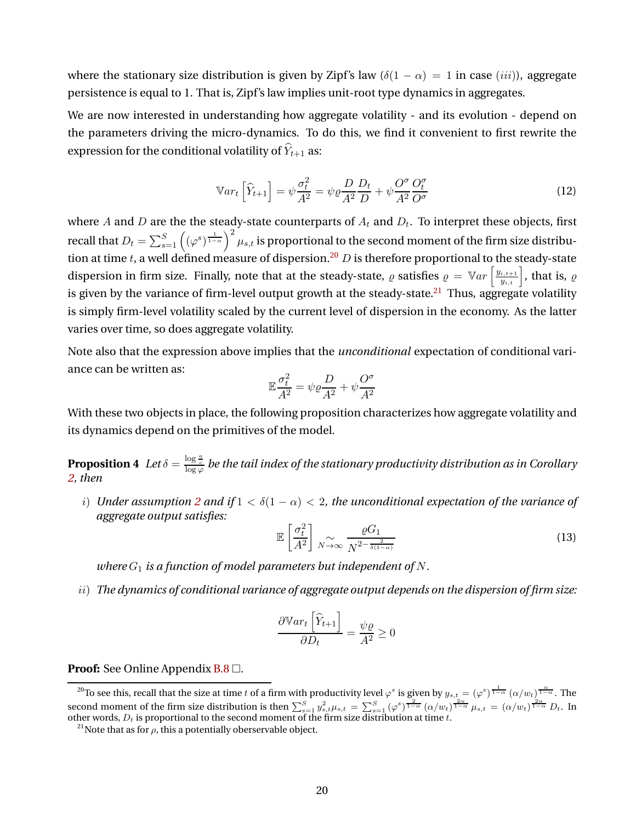where the stationary size distribution is given by Zipf's law  $(\delta(1 - \alpha) = 1$  in case  $(iii)$ ), aggregate persistence is equal to 1. That is, Zipf's law implies unit-root type dynamics in aggregates.

We are now interested in understanding how aggregate volatility - and its evolution - depend on the parameters driving the micro-dynamics. To do this, we find it convenient to first rewrite the expression for the conditional volatility of  $\widehat{Y}_{t+1}$  as:

$$
\mathbb{V}ar_t\left[\widehat{Y}_{t+1}\right] = \psi \frac{\sigma_t^2}{A^2} = \psi \varrho \frac{D}{A^2} \frac{D_t}{D} + \psi \frac{O^{\sigma}}{A^2} \frac{O_t^{\sigma}}{O^{\sigma}}
$$
(12)

where  $A$  and  $D$  are the the steady-state counterparts of  $A_t$  and  $D_t.$  To interpret these objects, first recall that  $D_t=\sum_{s=1}^S\left((\varphi^s)^{\frac{1}{1-\alpha}}\right)^2\mu_{s,t}$  is proportional to the second moment of the firm size distribution at time t, a well defined measure of dispersion.<sup>20</sup> D is therefore proportional to the steady-state dispersion in firm size. Finally, note that at the steady-state,  $\varrho$  satisfies  $\varrho = \mathbb{V}ar \left[\frac{y_{i,t+1}}{y_{i,t}}\right]$ , that is,  $\varrho$ is given by the variance of firm-level output growth at the steady-state.<sup>21</sup> Thus, aggregate volatility is simply firm-level volatility scaled by the current level of dispersion in the economy. As the latter varies over time, so does aggregate volatility.

Note also that the expression above implies that the *unconditional* expectation of conditional variance can be written as:

$$
\mathbb{E}\frac{\sigma_t^2}{A^2} = \psi \varrho \frac{D}{A^2} + \psi \frac{O^{\sigma}}{A^2}
$$

With these two objects in place, the following proposition characterizes how aggregate volatility and its dynamics depend on the primitives of the model.

**Proposition 4** Let  $\delta = \frac{\log \frac{a}{c}}{\log \varphi}$  be the tail index of the stationary productivity distribution as in Corollary *2, then*

i) *Under assumption 2 and if*  $1 < \delta(1 - \alpha) < 2$ , the unconditional expectation of the variance of *aggregate output satisfies:*

$$
\mathbb{E}\left[\frac{\sigma_t^2}{A^2}\right] \underset{N \to \infty}{\sim} \frac{\varrho G_1}{N^{2-\frac{2}{\delta(1-\alpha)}}}
$$
(13)

*where*  $G_1$  *is a function of model parameters but independent of*  $N$ .

ii) *The dynamics of conditional variance of aggregate output depends on the dispersion of firm size:*

$$
\frac{\partial \mathbb{V}ar_t\left[\hat{Y}_{t+1}\right]}{\partial D_t} = \frac{\psi \varrho}{A^2} \ge 0
$$

**Proof:** See Online Appendix **B.8** □.

<sup>&</sup>lt;sup>20</sup>To see this, recall that the size at time  $t$  of a firm with productivity level  $\varphi^s$  is given by  $y_{s,t}=(\varphi^s)^{\frac{1}{1-\alpha}}\,(\alpha/w_t)^{\frac{\alpha}{1-\alpha}}.$  The second moment of the firm size distribution is then  $\sum_{s=1}^{S} y_{s,t}^2 \mu_{s,t} = \sum_{s=1}^{S} (\varphi^s)^{\frac{2}{1-\alpha}} (\alpha/w_t)^{\frac{2\alpha}{1-\alpha}} \mu_{s,t} = (\alpha/w_t)^{\frac{2\alpha}{1-\alpha}} D_t$ . In other words,  $D_t$  is proportional to the second moment of the firm size distribution at time  $t$ .

<sup>&</sup>lt;sup>21</sup>Note that as for  $\rho$ , this a potentially oberservable object.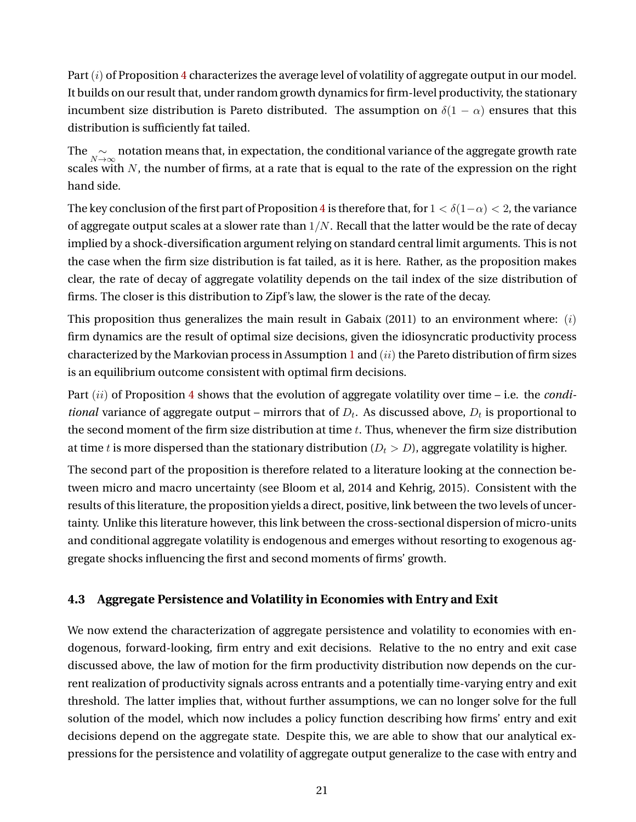Part  $(i)$  of Proposition 4 characterizes the average level of volatility of aggregate output in our model. It builds on our result that, under random growth dynamics for firm-level productivity, the stationary incumbent size distribution is Pareto distributed. The assumption on  $\delta(1-\alpha)$  ensures that this distribution is sufficiently fat tailed.

The  $\sum\limits_{N \to \infty}$  notation means that, in expectation, the conditional variance of the aggregate growth rate scales with N, the number of firms, at a rate that is equal to the rate of the expression on the right hand side.

The key conclusion of the first part of Proposition 4 is therefore that, for  $1 < \delta(1-\alpha) < 2$ , the variance of aggregate output scales at a slower rate than  $1/N$ . Recall that the latter would be the rate of decay implied by a shock-diversification argument relying on standard central limit arguments. This is not the case when the firm size distribution is fat tailed, as it is here. Rather, as the proposition makes clear, the rate of decay of aggregate volatility depends on the tail index of the size distribution of firms. The closer is this distribution to Zipf's law, the slower is the rate of the decay.

This proposition thus generalizes the main result in Gabaix (2011) to an environment where:  $(i)$ firm dynamics are the result of optimal size decisions, given the idiosyncratic productivity process characterized by the Markovian process in Assumption 1 and  $(ii)$  the Pareto distribution of firm sizes is an equilibrium outcome consistent with optimal firm decisions.

Part (*ii*) of Proposition 4 shows that the evolution of aggregate volatility over time – i.e. the *conditional* variance of aggregate output – mirrors that of  $D_t$ . As discussed above,  $D_t$  is proportional to the second moment of the firm size distribution at time  $t$ . Thus, whenever the firm size distribution at time t is more dispersed than the stationary distribution  $(D_t > D)$ , aggregate volatility is higher.

The second part of the proposition is therefore related to a literature looking at the connection between micro and macro uncertainty (see Bloom et al, 2014 and Kehrig, 2015). Consistent with the results of this literature, the proposition yields a direct, positive, link between the two levels of uncertainty. Unlike this literature however, this link between the cross-sectional dispersion of micro-units and conditional aggregate volatility is endogenous and emerges without resorting to exogenous aggregate shocks influencing the first and second moments of firms' growth.

### **4.3 Aggregate Persistence and Volatility in Economies with Entry and Exit**

We now extend the characterization of aggregate persistence and volatility to economies with endogenous, forward-looking, firm entry and exit decisions. Relative to the no entry and exit case discussed above, the law of motion for the firm productivity distribution now depends on the current realization of productivity signals across entrants and a potentially time-varying entry and exit threshold. The latter implies that, without further assumptions, we can no longer solve for the full solution of the model, which now includes a policy function describing how firms' entry and exit decisions depend on the aggregate state. Despite this, we are able to show that our analytical expressions for the persistence and volatility of aggregate output generalize to the case with entry and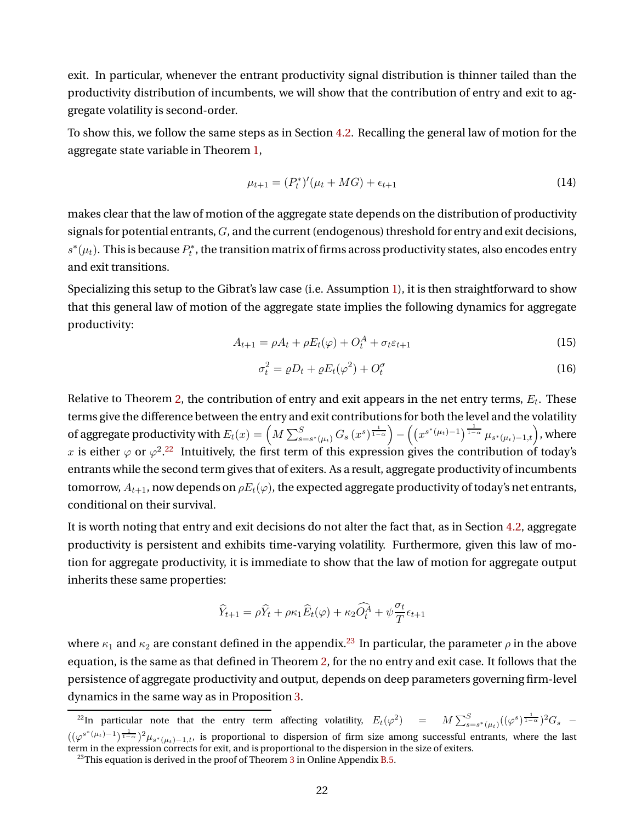exit. In particular, whenever the entrant productivity signal distribution is thinner tailed than the productivity distribution of incumbents, we will show that the contribution of entry and exit to aggregate volatility is second-order.

To show this, we follow the same steps as in Section 4.2. Recalling the general law of motion for the aggregate state variable in Theorem 1,

$$
\mu_{t+1} = (P_t^*)'(\mu_t + MG) + \epsilon_{t+1} \tag{14}
$$

makes clear that the law of motion of the aggregate state depends on the distribution of productivity signals for potential entrants,  $G$ , and the current (endogenous) threshold for entry and exit decisions,  $s^*(\mu_t).$  This is because  $P_t^*$ , the transition matrix of firms across productivity states, also encodes entry and exit transitions.

Specializing this setup to the Gibrat's law case (i.e. Assumption 1), it is then straightforward to show that this general law of motion of the aggregate state implies the following dynamics for aggregate productivity:

$$
A_{t+1} = \rho A_t + \rho E_t(\varphi) + O_t^A + \sigma_t \varepsilon_{t+1}
$$
\n(15)

$$
\sigma_t^2 = \varrho D_t + \varrho E_t(\varphi^2) + O_t^{\sigma}
$$
\n(16)

Relative to Theorem 2, the contribution of entry and exit appears in the net entry terms,  $E_t$ . These terms give the difference between the entry and exit contributions for both the level and the volatility of aggregate productivity with  $E_t(x)=\left(M\sum_{s=s^*(\mu_t)}^S G_s\left(x^s\right)^{\frac{1}{1-\alpha}}\right)$  $-\left({\left(x^{s^*(\mu_t)-1}\right)}^{\frac{1}{1-\alpha}}\mu_{s^*(\mu_t)-1,t}\right)$ , where x is either  $\varphi$  or  $\varphi^{2,22}$  Intuitively, the first term of this expression gives the contribution of today's entrants while the second term gives that of exiters. As a result, aggregate productivity of incumbents tomorrow,  $A_{t+1}$ , now depends on  $\rho E_t(\varphi)$ , the expected aggregate productivity of today's net entrants, conditional on their survival.

It is worth noting that entry and exit decisions do not alter the fact that, as in Section 4.2, aggregate productivity is persistent and exhibits time-varying volatility. Furthermore, given this law of motion for aggregate productivity, it is immediate to show that the law of motion for aggregate output inherits these same properties:

$$
\widehat{Y}_{t+1} = \rho \widehat{Y}_t + \rho \kappa_1 \widehat{E}_t(\varphi) + \kappa_2 \widehat{O}_t^A + \psi \frac{\sigma_t}{T} \epsilon_{t+1}
$$

where  $\kappa_1$  and  $\kappa_2$  are constant defined in the appendix.<sup>23</sup> In particular, the parameter  $\rho$  in the above equation, is the same as that defined in Theorem 2, for the no entry and exit case. It follows that the persistence of aggregate productivity and output, depends on deep parameters governing firm-level dynamics in the same way as in Proposition 3.

<sup>&</sup>lt;sup>22</sup>In particular note that the entry term affecting volatility,  $E_t(\varphi^2)$  =  $M \sum_{s=s^*(\mu_t)}^S ((\varphi^s)^{\frac{1}{1-\alpha}})^2 G_s$  –  $((\varphi^{s^*(\mu_t)-1})^{\frac{1}{1-\alpha}})^2 \mu_{s^*(\mu_t)-1,t}$ , is proportional to dispersion of firm size among successful entrants, where the last term in the expression corrects for exit, and is proportional to the dispersion in the size of exiters.

 $^{23}$ This equation is derived in the proof of Theorem 3 in Online Appendix B.5.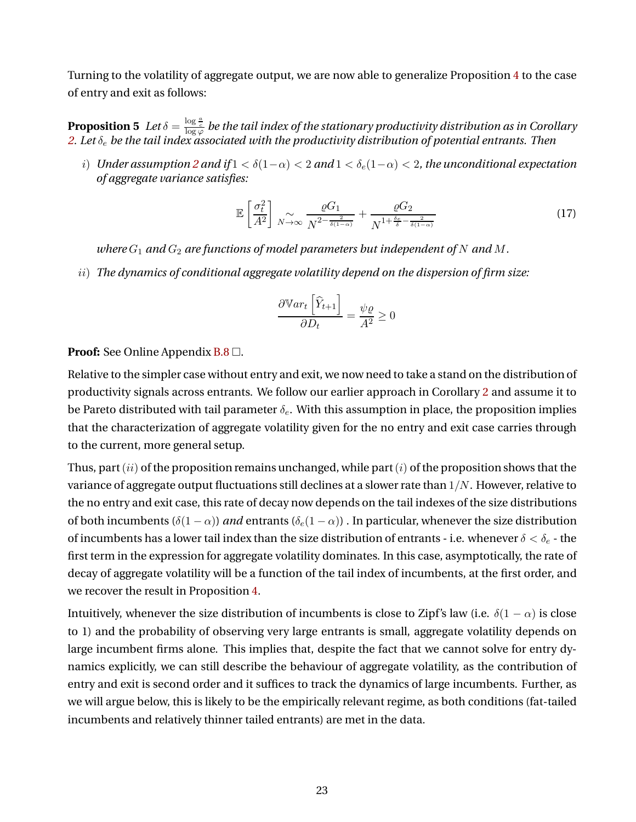Turning to the volatility of aggregate output, we are now able to generalize Proposition 4 to the case of entry and exit as follows:

**Proposition 5** Let  $\delta = \frac{\log \frac{a}{c}}{\log \varphi}$  be the tail index of the stationary productivity distribution as in Corollary 2. Let  $\delta_e$  be the tail index associated with the productivity distribution of potential entrants. Then

i) *Under assumption 2 and if*  $1 < \delta(1-\alpha) < 2$  *and*  $1 < \delta_e(1-\alpha) < 2$ *, the unconditional expectation of aggregate variance satisfies:*

$$
\mathbb{E}\left[\frac{\sigma_t^2}{A^2}\right] \underset{N \to \infty}{\sim} \frac{\varrho G_1}{N^{2-\frac{2}{\delta(1-\alpha)}}} + \frac{\varrho G_2}{N^{1+\frac{\delta_e}{\delta} - \frac{2}{\delta(1-\alpha)}}}
$$
(17)

*where*  $G_1$  *and*  $G_2$  *are functions of model parameters but independent of* N *and* M.

ii) *The dynamics of conditional aggregate volatility depend on the dispersion of firm size:*

$$
\frac{\partial \mathbb{V}ar_t\left[\hat{Y}_{t+1}\right]}{\partial D_t} = \frac{\psi \varrho}{A^2} \ge 0
$$

**Proof:** See Online Appendix **B.8** □.

Relative to the simpler case without entry and exit, we now need to take a stand on the distribution of productivity signals across entrants. We follow our earlier approach in Corollary 2 and assume it to be Pareto distributed with tail parameter  $\delta_e$ . With this assumption in place, the proposition implies that the characterization of aggregate volatility given for the no entry and exit case carries through to the current, more general setup.

Thus, part (ii) of the proposition remains unchanged, while part (i) of the proposition shows that the variance of aggregate output fluctuations still declines at a slower rate than  $1/N$ . However, relative to the no entry and exit case, this rate of decay now depends on the tail indexes of the size distributions of both incumbents  $(\delta(1-\alpha))$  *and* entrants  $(\delta_e(1-\alpha))$ . In particular, whenever the size distribution of incumbents has a lower tail index than the size distribution of entrants - i.e. whenever  $\delta < \delta_e$  - the first term in the expression for aggregate volatility dominates. In this case, asymptotically, the rate of decay of aggregate volatility will be a function of the tail index of incumbents, at the first order, and we recover the result in Proposition 4.

Intuitively, whenever the size distribution of incumbents is close to Zipf's law (i.e.  $\delta(1-\alpha)$ ) is close to 1) and the probability of observing very large entrants is small, aggregate volatility depends on large incumbent firms alone. This implies that, despite the fact that we cannot solve for entry dynamics explicitly, we can still describe the behaviour of aggregate volatility, as the contribution of entry and exit is second order and it suffices to track the dynamics of large incumbents. Further, as we will argue below, this is likely to be the empirically relevant regime, as both conditions (fat-tailed incumbents and relatively thinner tailed entrants) are met in the data.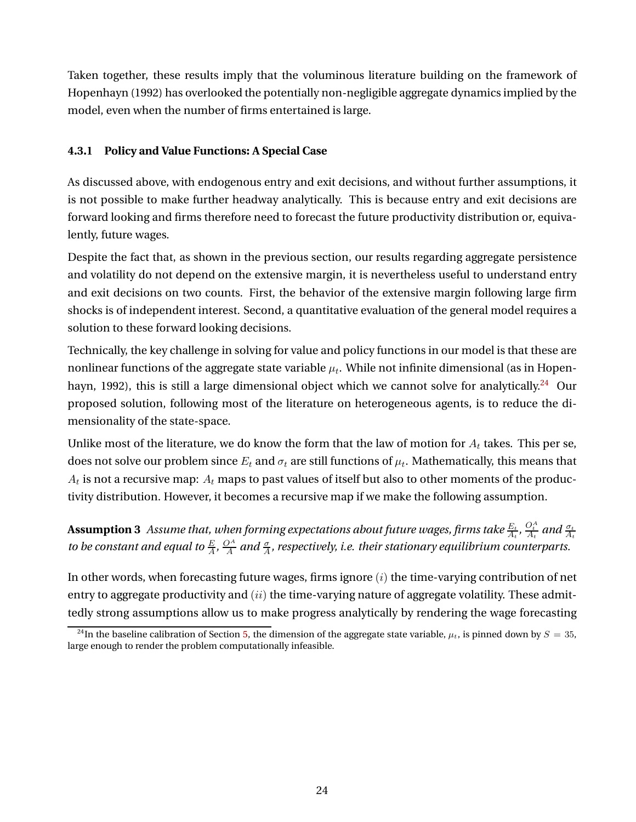Taken together, these results imply that the voluminous literature building on the framework of Hopenhayn (1992) has overlooked the potentially non-negligible aggregate dynamics implied by the model, even when the number of firms entertained is large.

### **4.3.1 Policy and Value Functions: A Special Case**

As discussed above, with endogenous entry and exit decisions, and without further assumptions, it is not possible to make further headway analytically. This is because entry and exit decisions are forward looking and firms therefore need to forecast the future productivity distribution or, equivalently, future wages.

Despite the fact that, as shown in the previous section, our results regarding aggregate persistence and volatility do not depend on the extensive margin, it is nevertheless useful to understand entry and exit decisions on two counts. First, the behavior of the extensive margin following large firm shocks is of independent interest. Second, a quantitative evaluation of the general model requires a solution to these forward looking decisions.

Technically, the key challenge in solving for value and policy functions in our model is that these are nonlinear functions of the aggregate state variable  $\mu_t.$  While not infinite dimensional (as in Hopenhayn, 1992), this is still a large dimensional object which we cannot solve for analytically.<sup>24</sup> Our proposed solution, following most of the literature on heterogeneous agents, is to reduce the dimensionality of the state-space.

Unlike most of the literature, we do know the form that the law of motion for  $A_t$  takes. This per se, does not solve our problem since  $E_t$  and  $\sigma_t$  are still functions of  $\mu_t.$  Mathematically, this means that  $A_t$  is not a recursive map:  $A_t$  maps to past values of itself but also to other moments of the productivity distribution. However, it becomes a recursive map if we make the following assumption.

 ${\bf Assumption~3}$  *Assume that, when forming expectations about future wages, firms take*  $\frac{E_t}{A_t}, \frac{O_t^A}{A_t}$  *and*  $\frac{\sigma_t}{A_t}$ *to be constant and equal to*  $\frac{E}{A}$ *,*  $\frac{O^A}{A}$  $\frac{D^A}{A}$  and  $\frac{\sigma}{A}$ , respectively, i.e. their stationary equilibrium counterparts.

In other words, when forecasting future wages, firms ignore  $(i)$  the time-varying contribution of net entry to aggregate productivity and  $(ii)$  the time-varying nature of aggregate volatility. These admittedly strong assumptions allow us to make progress analytically by rendering the wage forecasting

<sup>&</sup>lt;sup>24</sup>In the baseline calibration of Section 5, the dimension of the aggregate state variable,  $\mu_t$ , is pinned down by  $S = 35$ , large enough to render the problem computationally infeasible.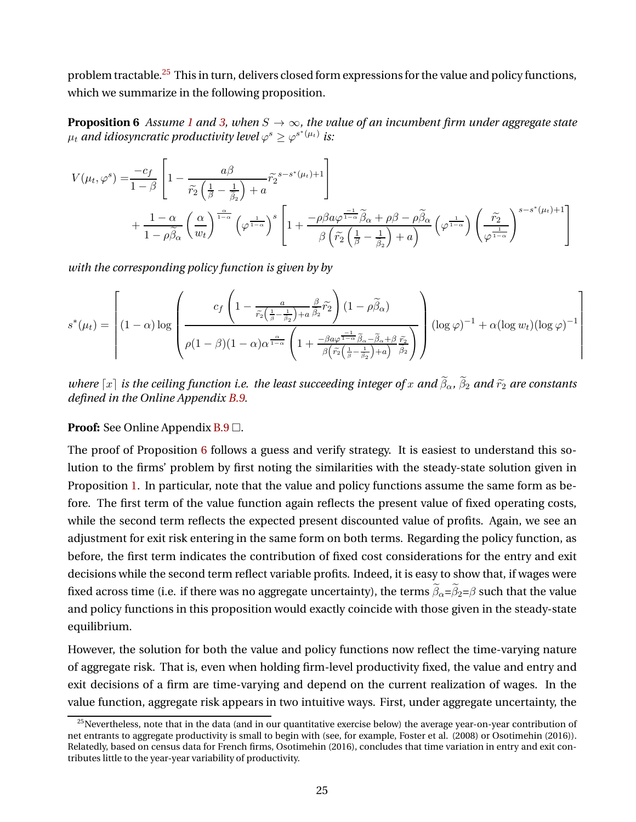problem tractable.<sup>25</sup> This in turn, delivers closed form expressions for the value and policy functions, which we summarize in the following proposition.

**Proposition 6** *Assume* 1 *and* 3, when  $S \to \infty$ , the value of an incumbent firm under aggregate state  $\mu_t$  and idiosyncratic productivity level  $\varphi^s \geq \varphi^{s^*(\mu_t)}$  is:

$$
V(\mu_t, \varphi^s) = \frac{-c_f}{1 - \beta} \left[ 1 - \frac{a\beta}{\tilde{r}_2 \left( \frac{1}{\beta} - \frac{1}{\tilde{\beta}_2} \right) + a} \tilde{r}_2^{s - s^*(\mu_t) + 1} \right] + \frac{1 - \alpha}{1 - \rho \tilde{\beta}_{\alpha}} \left( \frac{\alpha}{w_t} \right)^{\frac{\alpha}{1 - \alpha}} \left( \varphi^{\frac{1}{1 - \alpha}} \right)^s \left[ 1 + \frac{-\rho \beta a \varphi^{\frac{-1}{1 - \alpha}} \tilde{\beta}_{\alpha} + \rho \beta - \rho \tilde{\beta}_{\alpha}}{\beta \left( \tilde{r}_2 \left( \frac{1}{\beta} - \frac{1}{\tilde{\beta}_2} \right) + a \right)} \left( \varphi^{\frac{1}{1 - \alpha}} \right)^{s - s^*(\mu_t) + 1} \right]
$$

*with the corresponding policy function is given by by*

$$
s^*(\mu_t) = \left\lceil (1-\alpha)\log\left(\frac{c_f\left(1-\frac{a}{\tilde{r}_2\left(\frac{1}{\beta}-\frac{1}{\tilde{\beta}_2}\right)+a}\frac{\beta}{\tilde{\beta}_2}\tilde{r}_2\right)(1-\rho\tilde{\beta}_\alpha)}{\rho(1-\beta)(1-\alpha)\alpha^{\frac{\alpha}{1-\alpha}}\left(1+\frac{-\beta a\varphi^{\frac{-1}{1-\alpha}}\tilde{\beta}_\alpha-\tilde{\beta}_\alpha+\beta}{\beta\left(\tilde{r}_2\left(\frac{1}{\beta}-\frac{1}{\tilde{\beta}_2}\right)+a\right)}\frac{\tilde{r}_2}{\tilde{\beta}_2}\right)}\right\rceil (\log\varphi)^{-1} + \alpha(\log w_t)(\log\varphi)^{-1}\right\rceil
$$

*where*  $[x]$  *is the ceiling function i.e. the least succeeding integer of x and*  $\tilde{\beta}_{\alpha}$ ,  $\tilde{\beta}_{2}$  *and*  $\tilde{r}_{2}$  *are constants defined in the Online Appendix B.9.*

#### **Proof:** See Online Appendix **B.9** □.

The proof of Proposition 6 follows a guess and verify strategy. It is easiest to understand this solution to the firms' problem by first noting the similarities with the steady-state solution given in Proposition 1. In particular, note that the value and policy functions assume the same form as before. The first term of the value function again reflects the present value of fixed operating costs, while the second term reflects the expected present discounted value of profits. Again, we see an adjustment for exit risk entering in the same form on both terms. Regarding the policy function, as before, the first term indicates the contribution of fixed cost considerations for the entry and exit decisions while the second term reflect variable profits. Indeed, it is easy to show that, if wages were fixed across time (i.e. if there was no aggregate uncertainty), the terms  $\tilde{\beta}_0 = \tilde{\beta}_2 = \beta$  such that the value and policy functions in this proposition would exactly coincide with those given in the steady-state equilibrium.

However, the solution for both the value and policy functions now reflect the time-varying nature of aggregate risk. That is, even when holding firm-level productivity fixed, the value and entry and exit decisions of a firm are time-varying and depend on the current realization of wages. In the value function, aggregate risk appears in two intuitive ways. First, under aggregate uncertainty, the

<sup>&</sup>lt;sup>25</sup>Nevertheless, note that in the data (and in our quantitative exercise below) the average year-on-year contribution of net entrants to aggregate productivity is small to begin with (see, for example, Foster et al. (2008) or Osotimehin (2016)). Relatedly, based on census data for French firms, Osotimehin (2016), concludes that time variation in entry and exit contributes little to the year-year variability of productivity.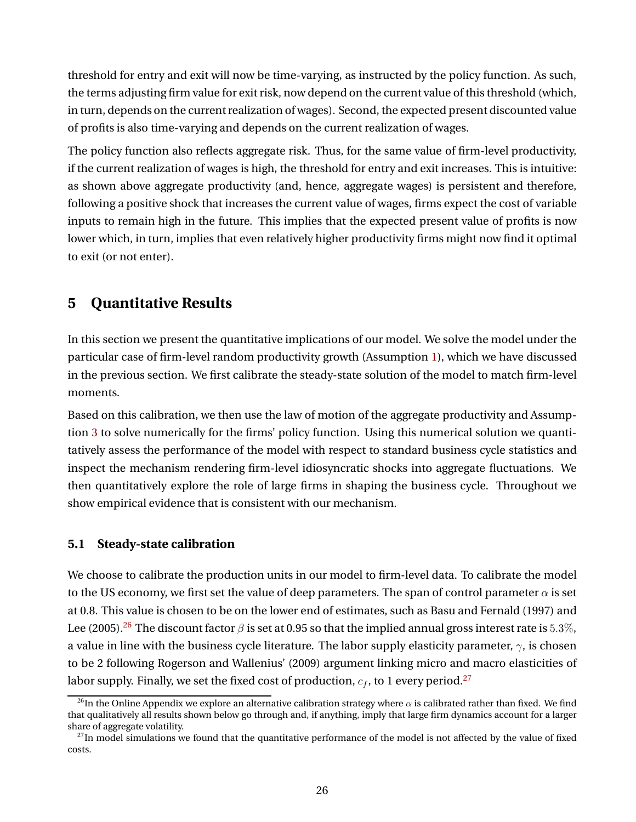threshold for entry and exit will now be time-varying, as instructed by the policy function. As such, the terms adjusting firm value for exit risk, now depend on the current value of this threshold (which, in turn, depends on the current realization of wages). Second, the expected present discounted value of profits is also time-varying and depends on the current realization of wages.

The policy function also reflects aggregate risk. Thus, for the same value of firm-level productivity, if the current realization of wages is high, the threshold for entry and exit increases. This is intuitive: as shown above aggregate productivity (and, hence, aggregate wages) is persistent and therefore, following a positive shock that increases the current value of wages, firms expect the cost of variable inputs to remain high in the future. This implies that the expected present value of profits is now lower which, in turn, implies that even relatively higher productivity firms might now find it optimal to exit (or not enter).

# **5 Quantitative Results**

In this section we present the quantitative implications of our model. We solve the model under the particular case of firm-level random productivity growth (Assumption 1), which we have discussed in the previous section. We first calibrate the steady-state solution of the model to match firm-level moments.

Based on this calibration, we then use the law of motion of the aggregate productivity and Assumption 3 to solve numerically for the firms' policy function. Using this numerical solution we quantitatively assess the performance of the model with respect to standard business cycle statistics and inspect the mechanism rendering firm-level idiosyncratic shocks into aggregate fluctuations. We then quantitatively explore the role of large firms in shaping the business cycle. Throughout we show empirical evidence that is consistent with our mechanism.

### **5.1 Steady-state calibration**

We choose to calibrate the production units in our model to firm-level data. To calibrate the model to the US economy, we first set the value of deep parameters. The span of control parameter  $\alpha$  is set at 0.8. This value is chosen to be on the lower end of estimates, such as Basu and Fernald (1997) and Lee (2005).<sup>26</sup> The discount factor  $\beta$  is set at 0.95 so that the implied annual gross interest rate is 5.3%, a value in line with the business cycle literature. The labor supply elasticity parameter,  $\gamma$ , is chosen to be 2 following Rogerson and Wallenius' (2009) argument linking micro and macro elasticities of labor supply. Finally, we set the fixed cost of production,  $c_f$ , to 1 every period.<sup>27</sup>

<sup>&</sup>lt;sup>26</sup>In the Online Appendix we explore an alternative calibration strategy where  $\alpha$  is calibrated rather than fixed. We find that qualitatively all results shown below go through and, if anything, imply that large firm dynamics account for a larger share of aggregate volatility.

 $^{27}$ In model simulations we found that the quantitative performance of the model is not affected by the value of fixed costs.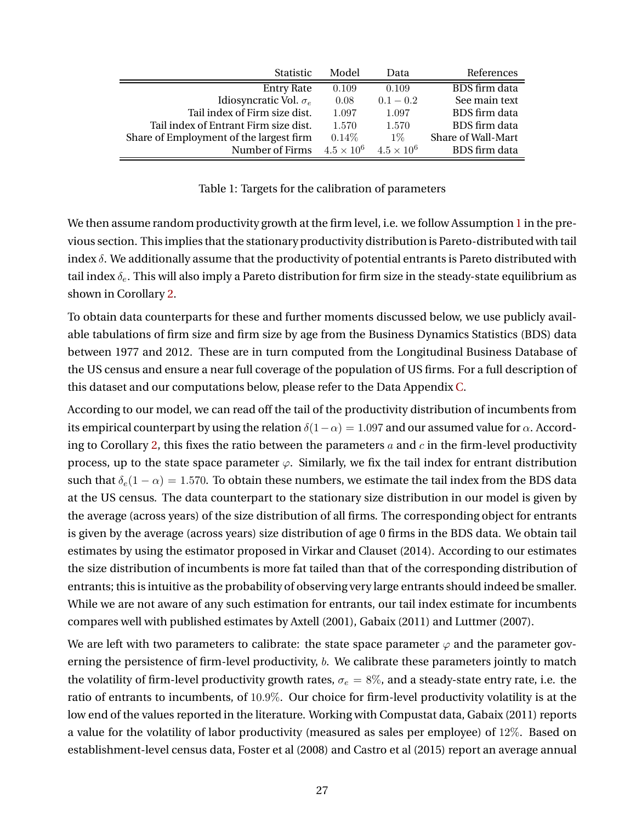| Statistic                               | Model             | Data              | References           |
|-----------------------------------------|-------------------|-------------------|----------------------|
| <b>Entry Rate</b>                       | 0.109             | 0.109             | <b>BDS</b> firm data |
| Idiosyncratic Vol. $\sigma_e$           | 0.08              | $0.1 - 0.2$       | See main text        |
| Tail index of Firm size dist.           | 1.097             | 1.097             | BDS firm data        |
| Tail index of Entrant Firm size dist.   | 1.570             | 1.570             | BDS firm data        |
| Share of Employment of the largest firm | $0.14\%$          | $1\%$             | Share of Wall-Mart   |
| Number of Firms                         | $4.5 \times 10^6$ | $4.5 \times 10^6$ | BDS firm data        |

Table 1: Targets for the calibration of parameters

We then assume random productivity growth at the firm level, i.e. we follow Assumption 1 in the previous section. This implies that the stationary productivity distribution is Pareto-distributed with tail index  $\delta$ . We additionally assume that the productivity of potential entrants is Pareto distributed with tail index  $\delta_e$ . This will also imply a Pareto distribution for firm size in the steady-state equilibrium as shown in Corollary 2.

To obtain data counterparts for these and further moments discussed below, we use publicly available tabulations of firm size and firm size by age from the Business Dynamics Statistics (BDS) data between 1977 and 2012. These are in turn computed from the Longitudinal Business Database of the US census and ensure a near full coverage of the population of US firms. For a full description of this dataset and our computations below, please refer to the Data Appendix C.

According to our model, we can read off the tail of the productivity distribution of incumbents from its empirical counterpart by using the relation  $\delta(1-\alpha) = 1.097$  and our assumed value for  $\alpha$ . According to Corollary 2, this fixes the ratio between the parameters  $a$  and  $c$  in the firm-level productivity process, up to the state space parameter  $\varphi$ . Similarly, we fix the tail index for entrant distribution such that  $\delta_e(1-\alpha) = 1.570$ . To obtain these numbers, we estimate the tail index from the BDS data at the US census. The data counterpart to the stationary size distribution in our model is given by the average (across years) of the size distribution of all firms. The corresponding object for entrants is given by the average (across years) size distribution of age 0 firms in the BDS data. We obtain tail estimates by using the estimator proposed in Virkar and Clauset (2014). According to our estimates the size distribution of incumbents is more fat tailed than that of the corresponding distribution of entrants; this is intuitive as the probability of observing very large entrants should indeed be smaller. While we are not aware of any such estimation for entrants, our tail index estimate for incumbents compares well with published estimates by Axtell (2001), Gabaix (2011) and Luttmer (2007).

We are left with two parameters to calibrate: the state space parameter  $\varphi$  and the parameter governing the persistence of firm-level productivity, b. We calibrate these parameters jointly to match the volatility of firm-level productivity growth rates,  $\sigma_e = 8\%$ , and a steady-state entry rate, i.e. the ratio of entrants to incumbents, of 10.9%. Our choice for firm-level productivity volatility is at the low end of the values reported in the literature. Working with Compustat data, Gabaix (2011) reports a value for the volatility of labor productivity (measured as sales per employee) of 12%. Based on establishment-level census data, Foster et al (2008) and Castro et al (2015) report an average annual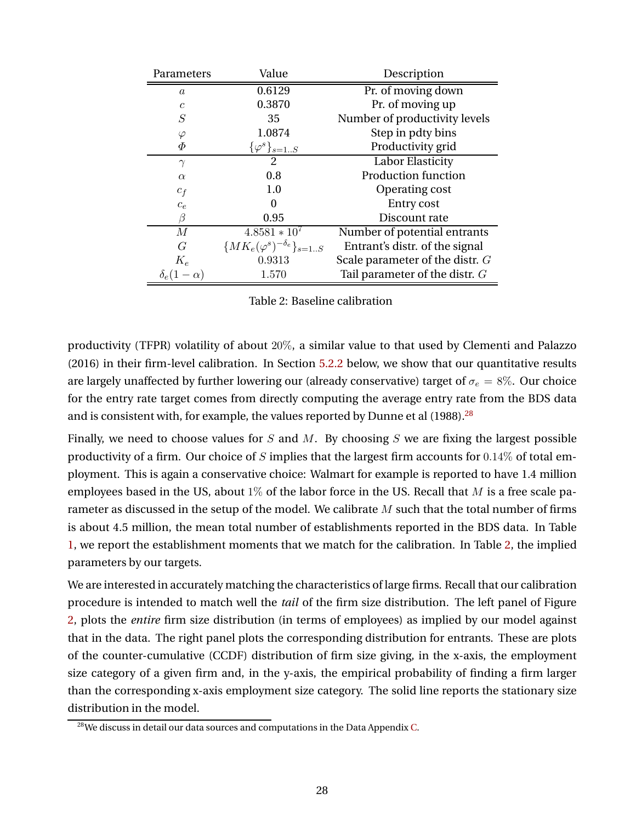| Parameters                                                                                                                   | Value                                    | Description                     |  |
|------------------------------------------------------------------------------------------------------------------------------|------------------------------------------|---------------------------------|--|
| $\boldsymbol{a}$                                                                                                             | 0.6129                                   | Pr. of moving down              |  |
| $\mathfrak{c}$                                                                                                               | 0.3870                                   | Pr. of moving up                |  |
| $\mathcal{S}% _{CS}^{(n)}(\theta)=\left( \mathcal{S}% _{CS}^{(n)}(\theta)\right) ^{\ast }(\mathcal{S}% _{CS}^{(n)}(\theta))$ | 35                                       | Number of productivity levels   |  |
| $\varphi$                                                                                                                    | 1.0874                                   | Step in pdty bins               |  |
| $\varPhi$                                                                                                                    | $\{\varphi^s\}_{s=1S}$                   | Productivity grid               |  |
| $\gamma$                                                                                                                     | 2                                        | Labor Elasticity                |  |
| $\alpha$                                                                                                                     | 0.8                                      | <b>Production function</b>      |  |
| $c_f$                                                                                                                        | 1.0                                      | Operating cost                  |  |
| $c_e$                                                                                                                        |                                          | Entry cost                      |  |
| B                                                                                                                            | 0.95                                     | Discount rate                   |  |
| M                                                                                                                            | $4.8581 * 10^7$                          | Number of potential entrants    |  |
| G                                                                                                                            | $\{MK_e(\varphi^s)^{-\delta_e}\}_{s=1S}$ | Entrant's distr. of the signal  |  |
| $K_e$                                                                                                                        | 0.9313                                   | Scale parameter of the distr. G |  |
| $\delta_e(1)$<br>$\cdot$ $\alpha$                                                                                            | 1.570                                    | Tail parameter of the distr. G  |  |

Table 2: Baseline calibration

productivity (TFPR) volatility of about 20%, a similar value to that used by Clementi and Palazzo (2016) in their firm-level calibration. In Section 5.2.2 below, we show that our quantitative results are largely unaffected by further lowering our (already conservative) target of  $\sigma_e = 8\%$ . Our choice for the entry rate target comes from directly computing the average entry rate from the BDS data and is consistent with, for example, the values reported by Dunne et al  $(1988)^{28}$ 

Finally, we need to choose values for  $S$  and  $M$ . By choosing  $S$  we are fixing the largest possible productivity of a firm. Our choice of S implies that the largest firm accounts for 0.14% of total employment. This is again a conservative choice: Walmart for example is reported to have 1.4 million employees based in the US, about  $1\%$  of the labor force in the US. Recall that M is a free scale parameter as discussed in the setup of the model. We calibrate  $M$  such that the total number of firms is about 4.5 million, the mean total number of establishments reported in the BDS data. In Table 1, we report the establishment moments that we match for the calibration. In Table 2, the implied parameters by our targets.

We are interested in accurately matching the characteristics of large firms. Recall that our calibration procedure is intended to match well the *tail* of the firm size distribution. The left panel of Figure 2, plots the *entire* firm size distribution (in terms of employees) as implied by our model against that in the data. The right panel plots the corresponding distribution for entrants. These are plots of the counter-cumulative (CCDF) distribution of firm size giving, in the x-axis, the employment size category of a given firm and, in the y-axis, the empirical probability of finding a firm larger than the corresponding x-axis employment size category. The solid line reports the stationary size distribution in the model.

 $28$ We discuss in detail our data sources and computations in the Data Appendix C.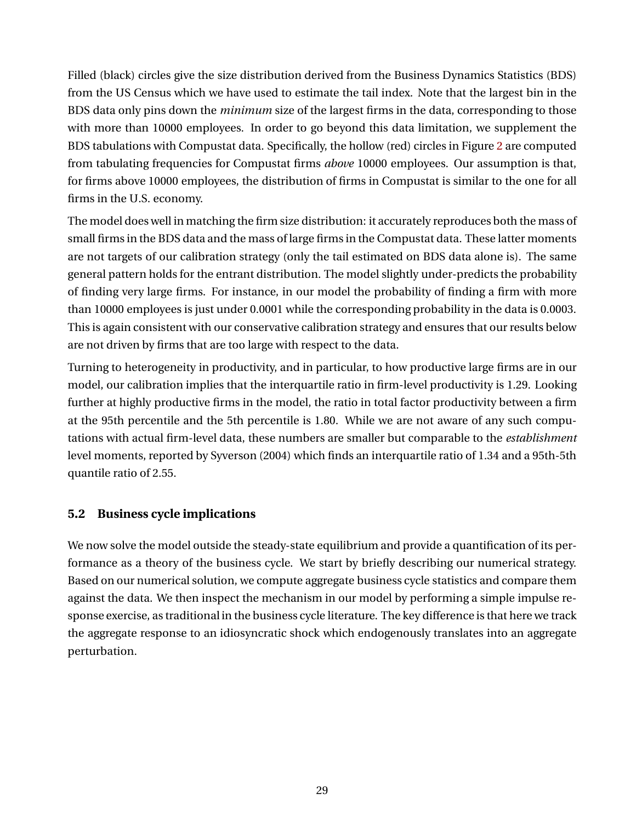Filled (black) circles give the size distribution derived from the Business Dynamics Statistics (BDS) from the US Census which we have used to estimate the tail index. Note that the largest bin in the BDS data only pins down the *minimum* size of the largest firms in the data, corresponding to those with more than 10000 employees. In order to go beyond this data limitation, we supplement the BDS tabulations with Compustat data. Specifically, the hollow (red) circles in Figure 2 are computed from tabulating frequencies for Compustat firms *above* 10000 employees. Our assumption is that, for firms above 10000 employees, the distribution of firms in Compustat is similar to the one for all firms in the U.S. economy.

The model does well in matching the firm size distribution: it accurately reproduces both the mass of small firms in the BDS data and the mass of large firms in the Compustat data. These latter moments are not targets of our calibration strategy (only the tail estimated on BDS data alone is). The same general pattern holds for the entrant distribution. The model slightly under-predicts the probability of finding very large firms. For instance, in our model the probability of finding a firm with more than 10000 employees is just under 0.0001 while the corresponding probability in the data is 0.0003. This is again consistent with our conservative calibration strategy and ensures that our results below are not driven by firms that are too large with respect to the data.

Turning to heterogeneity in productivity, and in particular, to how productive large firms are in our model, our calibration implies that the interquartile ratio in firm-level productivity is 1.29. Looking further at highly productive firms in the model, the ratio in total factor productivity between a firm at the 95th percentile and the 5th percentile is 1.80. While we are not aware of any such computations with actual firm-level data, these numbers are smaller but comparable to the *establishment* level moments, reported by Syverson (2004) which finds an interquartile ratio of 1.34 and a 95th-5th quantile ratio of 2.55.

### **5.2 Business cycle implications**

We now solve the model outside the steady-state equilibrium and provide a quantification of its performance as a theory of the business cycle. We start by briefly describing our numerical strategy. Based on our numerical solution, we compute aggregate business cycle statistics and compare them against the data. We then inspect the mechanism in our model by performing a simple impulse response exercise, as traditional in the business cycle literature. The key difference is that here we track the aggregate response to an idiosyncratic shock which endogenously translates into an aggregate perturbation.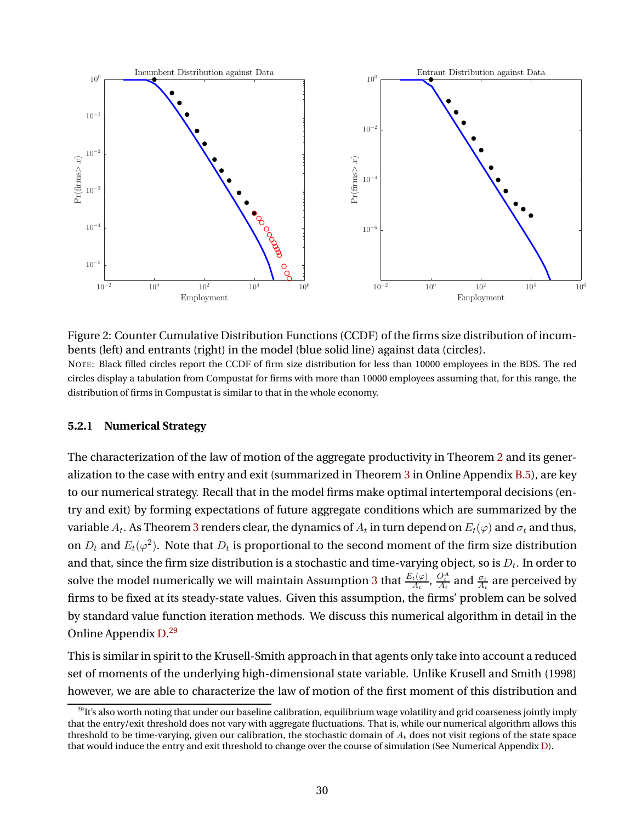

Figure 2: Counter Cumulative Distribution Functions (CCDF) of the firms size distribution of incumbents (left) and entrants (right) in the model (blue solid line) against data (circles). NOTE: Black filled circles report the CCDF of firm size distribution for less than 10000 employees in the BDS. The red circles display a tabulation from Compustat for firms with more than 10000 employees assuming that, for this range, the distribution of firms in Compustat is similar to that in the whole economy.

#### **5.2.1 Numerical Strategy**

The characterization of the law of motion of the aggregate productivity in Theorem 2 and its generalization to the case with entry and exit (summarized in Theorem 3 in Online Appendix B.5), are key to our numerical strategy. Recall that in the model firms make optimal intertemporal decisions (entry and exit) by forming expectations of future aggregate conditions which are summarized by the variable  $A_t.$  As Theorem 3 renders clear, the dynamics of  $A_t$  in turn depend on  $E_t(\varphi)$  and  $\sigma_t$  and thus, on  $D_t$  and  $E_t(\varphi^2)$ . Note that  $D_t$  is proportional to the second moment of the firm size distribution and that, since the firm size distribution is a stochastic and time-varying object, so is  $D_t.$  In order to solve the model numerically we will maintain Assumption 3 that  $\frac{E_t(\varphi)}{A_t}$ ,  $\frac{O_t^A}{A_t}$  and  $\frac{\sigma_t}{A_t}$  are perceived by firms to be fixed at its steady-state values. Given this assumption, the firms' problem can be solved by standard value function iteration methods. We discuss this numerical algorithm in detail in the Online Appendix D. 29

This is similar in spirit to the Krusell-Smith approach in that agents only take into account a reduced set of moments of the underlying high-dimensional state variable. Unlike Krusell and Smith (1998) however, we are able to characterize the law of motion of the first moment of this distribution and

 $29$ It's also worth noting that under our baseline calibration, equilibrium wage volatility and grid coarseness jointly imply that the entry/exit threshold does not vary with aggregate fluctuations. That is, while our numerical algorithm allows this threshold to be time-varying, given our calibration, the stochastic domain of  $A_t$  does not visit regions of the state space that would induce the entry and exit threshold to change over the course of simulation (See Numerical Appendix D).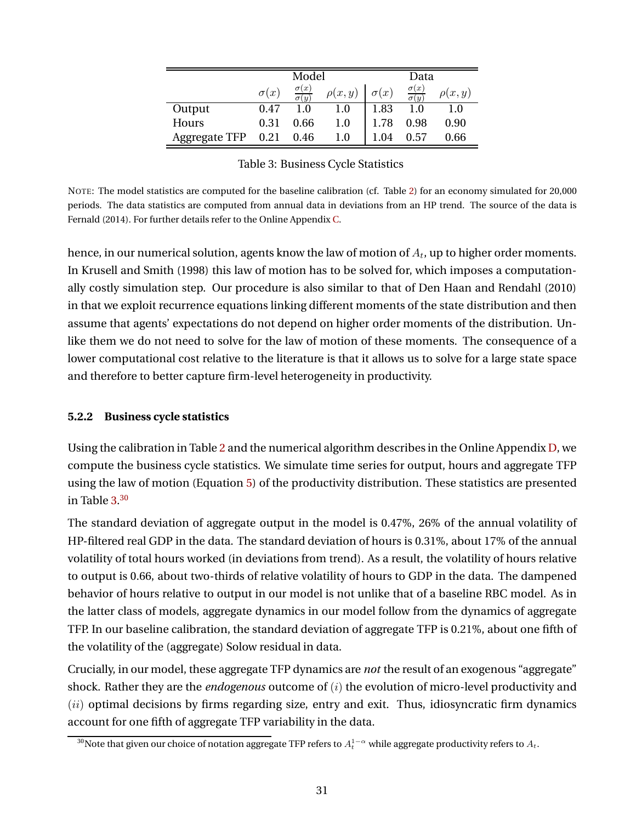|                      | Model       |                            |             | Data        |                            |             |
|----------------------|-------------|----------------------------|-------------|-------------|----------------------------|-------------|
|                      | $\sigma(x)$ | $\sigma(x)$<br>$\sigma(y)$ | $\rho(x,y)$ | $\sigma(x)$ | $\sigma(x)$<br>$\sigma(u)$ | $\rho(x,y)$ |
| Output               | 0.47        | $1.0\,$                    | 1.0         | 1.83        | $1.0\,$                    | $1.0\,$     |
| Hours                | 0.31        | 0.66                       | 1.0         | 1.78        | 0.98                       | 0.90        |
| <b>Aggregate TFP</b> | 0.21        | 0.46                       | $1.0\,$     | 1.04        | በ 57                       | 0.66        |

Table 3: Business Cycle Statistics

NOTE: The model statistics are computed for the baseline calibration (cf. Table 2) for an economy simulated for 20,000 periods. The data statistics are computed from annual data in deviations from an HP trend. The source of the data is Fernald (2014). For further details refer to the Online Appendix C.

hence, in our numerical solution, agents know the law of motion of  $A_t$ , up to higher order moments. In Krusell and Smith (1998) this law of motion has to be solved for, which imposes a computationally costly simulation step. Our procedure is also similar to that of Den Haan and Rendahl (2010) in that we exploit recurrence equations linking different moments of the state distribution and then assume that agents' expectations do not depend on higher order moments of the distribution. Unlike them we do not need to solve for the law of motion of these moments. The consequence of a lower computational cost relative to the literature is that it allows us to solve for a large state space and therefore to better capture firm-level heterogeneity in productivity.

### **5.2.2 Business cycle statistics**

Using the calibration in Table 2 and the numerical algorithm describes in the Online Appendix D, we compute the business cycle statistics. We simulate time series for output, hours and aggregate TFP using the law of motion (Equation 5) of the productivity distribution. These statistics are presented in Table 3. 30

The standard deviation of aggregate output in the model is 0.47%, 26% of the annual volatility of HP-filtered real GDP in the data. The standard deviation of hours is 0.31%, about 17% of the annual volatility of total hours worked (in deviations from trend). As a result, the volatility of hours relative to output is 0.66, about two-thirds of relative volatility of hours to GDP in the data. The dampened behavior of hours relative to output in our model is not unlike that of a baseline RBC model. As in the latter class of models, aggregate dynamics in our model follow from the dynamics of aggregate TFP. In our baseline calibration, the standard deviation of aggregate TFP is 0.21%, about one fifth of the volatility of the (aggregate) Solow residual in data.

Crucially, in our model, these aggregate TFP dynamics are *not* the result of an exogenous "aggregate" shock. Rather they are the *endogenous* outcome of (i) the evolution of micro-level productivity and  $(ii)$  optimal decisions by firms regarding size, entry and exit. Thus, idiosyncratic firm dynamics account for one fifth of aggregate TFP variability in the data.

 $^{30}$ Note that given our choice of notation aggregate TFP refers to  $A_t^{1-\alpha}$  while aggregate productivity refers to  $A_t.$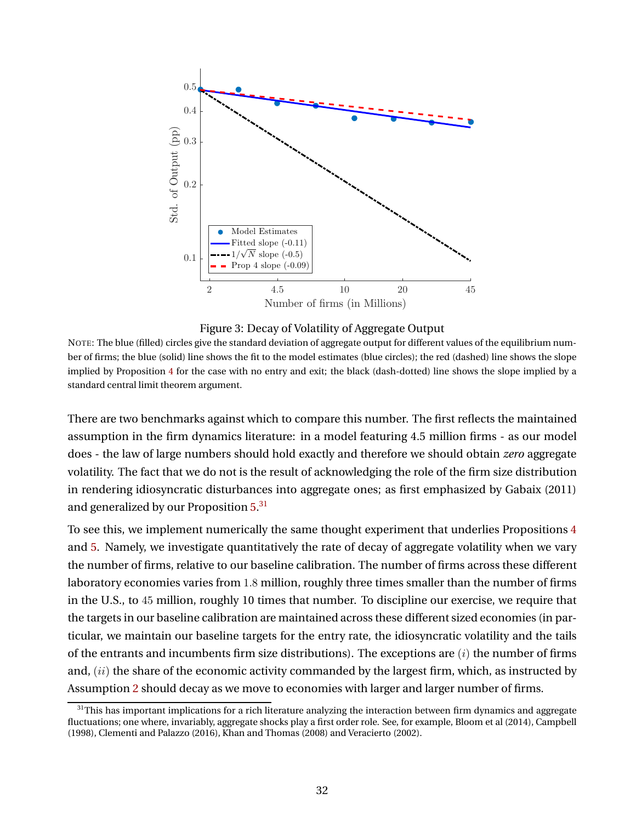



NOTE: The blue (filled) circles give the standard deviation of aggregate output for different values of the equilibrium number of firms; the blue (solid) line shows the fit to the model estimates (blue circles); the red (dashed) line shows the slope implied by Proposition 4 for the case with no entry and exit; the black (dash-dotted) line shows the slope implied by a standard central limit theorem argument.

There are two benchmarks against which to compare this number. The first reflects the maintained assumption in the firm dynamics literature: in a model featuring 4.5 million firms - as our model does - the law of large numbers should hold exactly and therefore we should obtain *zero* aggregate volatility. The fact that we do not is the result of acknowledging the role of the firm size distribution in rendering idiosyncratic disturbances into aggregate ones; as first emphasized by Gabaix (2011) and generalized by our Proposition 5.<sup>31</sup>

To see this, we implement numerically the same thought experiment that underlies Propositions 4 and 5. Namely, we investigate quantitatively the rate of decay of aggregate volatility when we vary the number of firms, relative to our baseline calibration. The number of firms across these different laboratory economies varies from 1.8 million, roughly three times smaller than the number of firms in the U.S., to 45 million, roughly 10 times that number. To discipline our exercise, we require that the targets in our baseline calibration are maintained across these different sized economies (in particular, we maintain our baseline targets for the entry rate, the idiosyncratic volatility and the tails of the entrants and incumbents firm size distributions). The exceptions are  $(i)$  the number of firms and,  $(ii)$  the share of the economic activity commanded by the largest firm, which, as instructed by Assumption 2 should decay as we move to economies with larger and larger number of firms.

 $31$ This has important implications for a rich literature analyzing the interaction between firm dynamics and aggregate fluctuations; one where, invariably, aggregate shocks play a first order role. See, for example, Bloom et al (2014), Campbell (1998), Clementi and Palazzo (2016), Khan and Thomas (2008) and Veracierto (2002).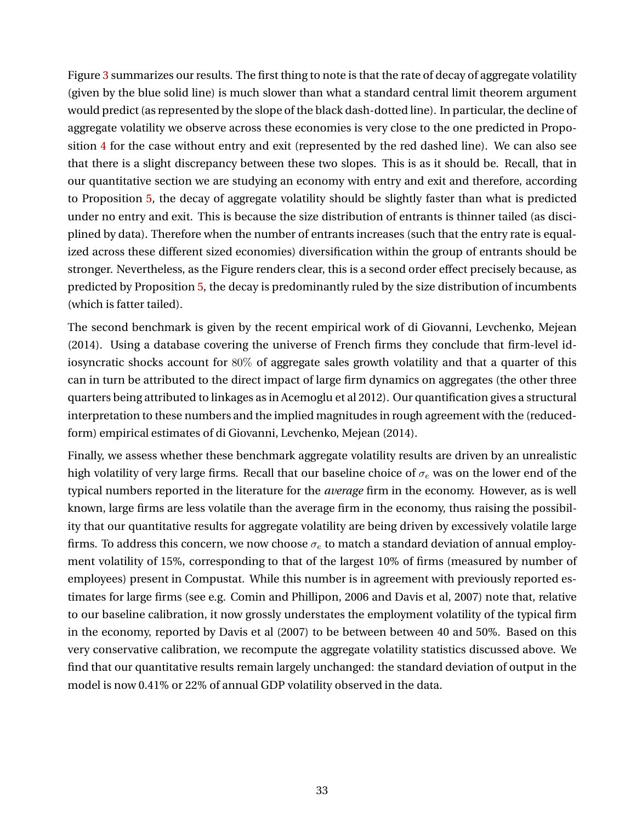Figure 3 summarizes our results. The first thing to note is that the rate of decay of aggregate volatility (given by the blue solid line) is much slower than what a standard central limit theorem argument would predict (as represented by the slope of the black dash-dotted line). In particular, the decline of aggregate volatility we observe across these economies is very close to the one predicted in Proposition 4 for the case without entry and exit (represented by the red dashed line). We can also see that there is a slight discrepancy between these two slopes. This is as it should be. Recall, that in our quantitative section we are studying an economy with entry and exit and therefore, according to Proposition 5, the decay of aggregate volatility should be slightly faster than what is predicted under no entry and exit. This is because the size distribution of entrants is thinner tailed (as disciplined by data). Therefore when the number of entrants increases (such that the entry rate is equalized across these different sized economies) diversification within the group of entrants should be stronger. Nevertheless, as the Figure renders clear, this is a second order effect precisely because, as predicted by Proposition 5, the decay is predominantly ruled by the size distribution of incumbents (which is fatter tailed).

The second benchmark is given by the recent empirical work of di Giovanni, Levchenko, Mejean (2014). Using a database covering the universe of French firms they conclude that firm-level idiosyncratic shocks account for 80% of aggregate sales growth volatility and that a quarter of this can in turn be attributed to the direct impact of large firm dynamics on aggregates (the other three quarters being attributed to linkages as in Acemoglu et al 2012). Our quantification gives a structural interpretation to these numbers and the implied magnitudes in rough agreement with the (reducedform) empirical estimates of di Giovanni, Levchenko, Mejean (2014).

Finally, we assess whether these benchmark aggregate volatility results are driven by an unrealistic high volatility of very large firms. Recall that our baseline choice of  $\sigma_e$  was on the lower end of the typical numbers reported in the literature for the *average* firm in the economy. However, as is well known, large firms are less volatile than the average firm in the economy, thus raising the possibility that our quantitative results for aggregate volatility are being driven by excessively volatile large firms. To address this concern, we now choose  $\sigma_e$  to match a standard deviation of annual employment volatility of 15%, corresponding to that of the largest 10% of firms (measured by number of employees) present in Compustat. While this number is in agreement with previously reported estimates for large firms (see e.g. Comin and Phillipon, 2006 and Davis et al, 2007) note that, relative to our baseline calibration, it now grossly understates the employment volatility of the typical firm in the economy, reported by Davis et al (2007) to be between between 40 and 50%. Based on this very conservative calibration, we recompute the aggregate volatility statistics discussed above. We find that our quantitative results remain largely unchanged: the standard deviation of output in the model is now 0.41% or 22% of annual GDP volatility observed in the data.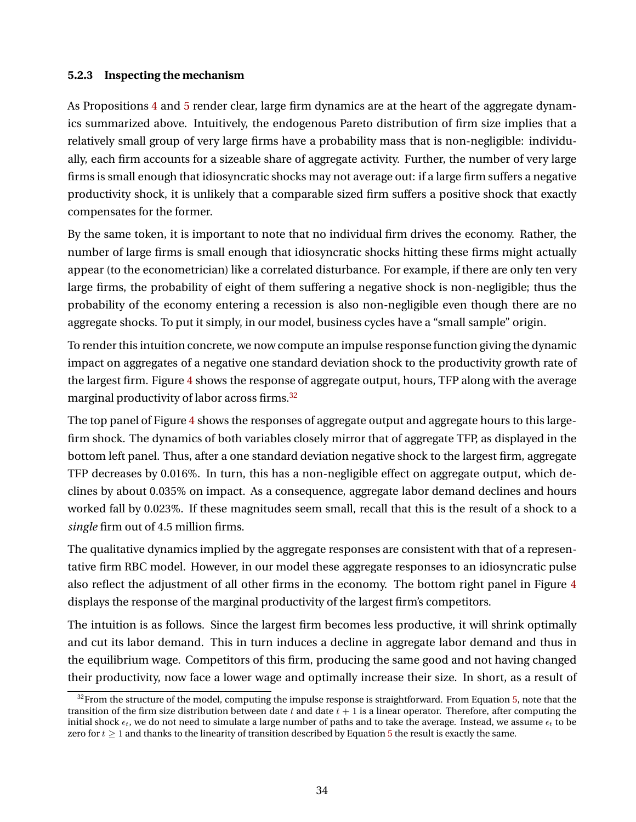### **5.2.3 Inspecting the mechanism**

As Propositions 4 and 5 render clear, large firm dynamics are at the heart of the aggregate dynamics summarized above. Intuitively, the endogenous Pareto distribution of firm size implies that a relatively small group of very large firms have a probability mass that is non-negligible: individually, each firm accounts for a sizeable share of aggregate activity. Further, the number of very large firms is small enough that idiosyncratic shocks may not average out: if a large firm suffers a negative productivity shock, it is unlikely that a comparable sized firm suffers a positive shock that exactly compensates for the former.

By the same token, it is important to note that no individual firm drives the economy. Rather, the number of large firms is small enough that idiosyncratic shocks hitting these firms might actually appear (to the econometrician) like a correlated disturbance. For example, if there are only ten very large firms, the probability of eight of them suffering a negative shock is non-negligible; thus the probability of the economy entering a recession is also non-negligible even though there are no aggregate shocks. To put it simply, in our model, business cycles have a "small sample" origin.

To render this intuition concrete, we now compute an impulse response function giving the dynamic impact on aggregates of a negative one standard deviation shock to the productivity growth rate of the largest firm. Figure 4 shows the response of aggregate output, hours, TFP along with the average marginal productivity of labor across firms.<sup>32</sup>

The top panel of Figure 4 shows the responses of aggregate output and aggregate hours to this largefirm shock. The dynamics of both variables closely mirror that of aggregate TFP, as displayed in the bottom left panel. Thus, after a one standard deviation negative shock to the largest firm, aggregate TFP decreases by 0.016%. In turn, this has a non-negligible effect on aggregate output, which declines by about 0.035% on impact. As a consequence, aggregate labor demand declines and hours worked fall by 0.023%. If these magnitudes seem small, recall that this is the result of a shock to a *single* firm out of 4.5 million firms.

The qualitative dynamics implied by the aggregate responses are consistent with that of a representative firm RBC model. However, in our model these aggregate responses to an idiosyncratic pulse also reflect the adjustment of all other firms in the economy. The bottom right panel in Figure 4 displays the response of the marginal productivity of the largest firm's competitors.

The intuition is as follows. Since the largest firm becomes less productive, it will shrink optimally and cut its labor demand. This in turn induces a decline in aggregate labor demand and thus in the equilibrium wage. Competitors of this firm, producing the same good and not having changed their productivity, now face a lower wage and optimally increase their size. In short, as a result of

 $32$ From the structure of the model, computing the impulse response is straightforward. From Equation 5, note that the transition of the firm size distribution between date  $t$  and date  $t + 1$  is a linear operator. Therefore, after computing the initial shock  $\epsilon_t$ , we do not need to simulate a large number of paths and to take the average. Instead, we assume  $\epsilon_t$  to be zero for  $t \geq 1$  and thanks to the linearity of transition described by Equation 5 the result is exactly the same.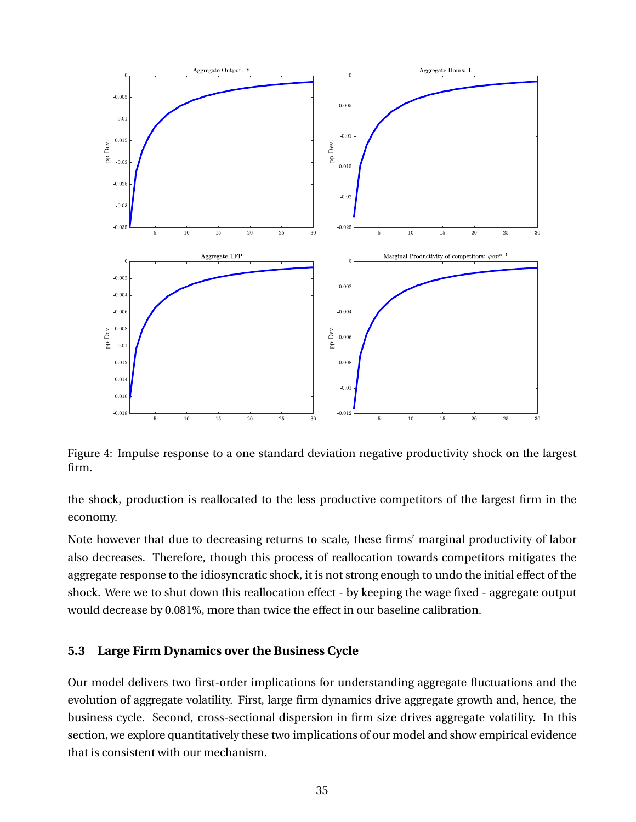

Figure 4: Impulse response to a one standard deviation negative productivity shock on the largest firm.

the shock, production is reallocated to the less productive competitors of the largest firm in the economy.

Note however that due to decreasing returns to scale, these firms' marginal productivity of labor also decreases. Therefore, though this process of reallocation towards competitors mitigates the aggregate response to the idiosyncratic shock, it is not strong enough to undo the initial effect of the shock. Were we to shut down this reallocation effect - by keeping the wage fixed - aggregate output would decrease by 0.081%, more than twice the effect in our baseline calibration.

### **5.3 Large Firm Dynamics over the Business Cycle**

Our model delivers two first-order implications for understanding aggregate fluctuations and the evolution of aggregate volatility. First, large firm dynamics drive aggregate growth and, hence, the business cycle. Second, cross-sectional dispersion in firm size drives aggregate volatility. In this section, we explore quantitatively these two implications of our model and show empirical evidence that is consistent with our mechanism.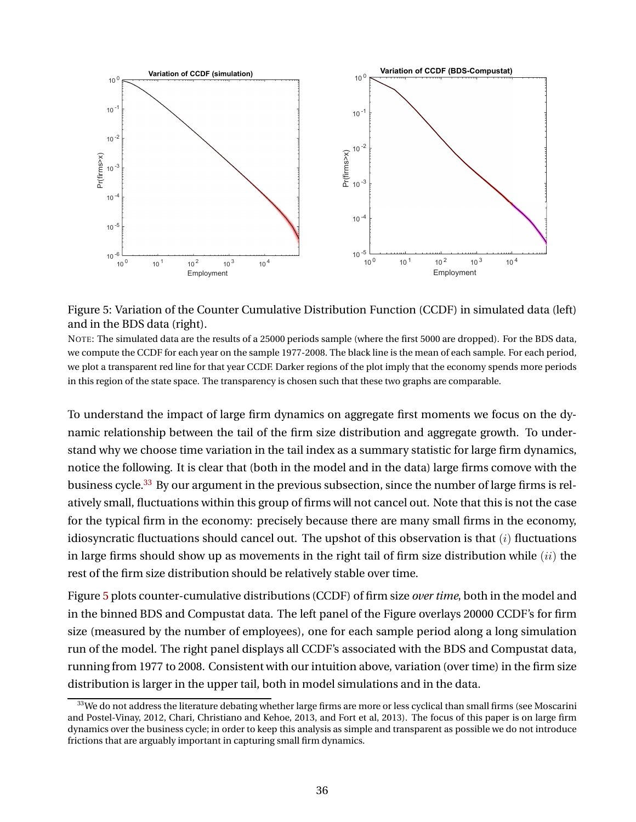

Figure 5: Variation of the Counter Cumulative Distribution Function (CCDF) in simulated data (left) and in the BDS data (right).

NOTE: The simulated data are the results of a 25000 periods sample (where the first 5000 are dropped). For the BDS data, we compute the CCDF for each year on the sample 1977-2008. The black line is the mean of each sample. For each period, we plot a transparent red line for that year CCDF. Darker regions of the plot imply that the economy spends more periods in this region of the state space. The transparency is chosen such that these two graphs are comparable.

To understand the impact of large firm dynamics on aggregate first moments we focus on the dynamic relationship between the tail of the firm size distribution and aggregate growth. To understand why we choose time variation in the tail index as a summary statistic for large firm dynamics, notice the following. It is clear that (both in the model and in the data) large firms comove with the business cycle.<sup>33</sup> By our argument in the previous subsection, since the number of large firms is relatively small, fluctuations within this group of firms will not cancel out. Note that this is not the case for the typical firm in the economy: precisely because there are many small firms in the economy, idiosyncratic fluctuations should cancel out. The upshot of this observation is that  $(i)$  fluctuations in large firms should show up as movements in the right tail of firm size distribution while  $(ii)$  the rest of the firm size distribution should be relatively stable over time.

Figure 5 plots counter-cumulative distributions (CCDF) of firm size *over time*, both in the model and in the binned BDS and Compustat data. The left panel of the Figure overlays 20000 CCDF's for firm size (measured by the number of employees), one for each sample period along a long simulation run of the model. The right panel displays all CCDF's associated with the BDS and Compustat data, running from 1977 to 2008. Consistent with our intuition above, variation (over time) in the firm size distribution is larger in the upper tail, both in model simulations and in the data.

<sup>&</sup>lt;sup>33</sup>We do not address the literature debating whether large firms are more or less cyclical than small firms (see Moscarini and Postel-Vinay, 2012, Chari, Christiano and Kehoe, 2013, and Fort et al, 2013). The focus of this paper is on large firm dynamics over the business cycle; in order to keep this analysis as simple and transparent as possible we do not introduce frictions that are arguably important in capturing small firm dynamics.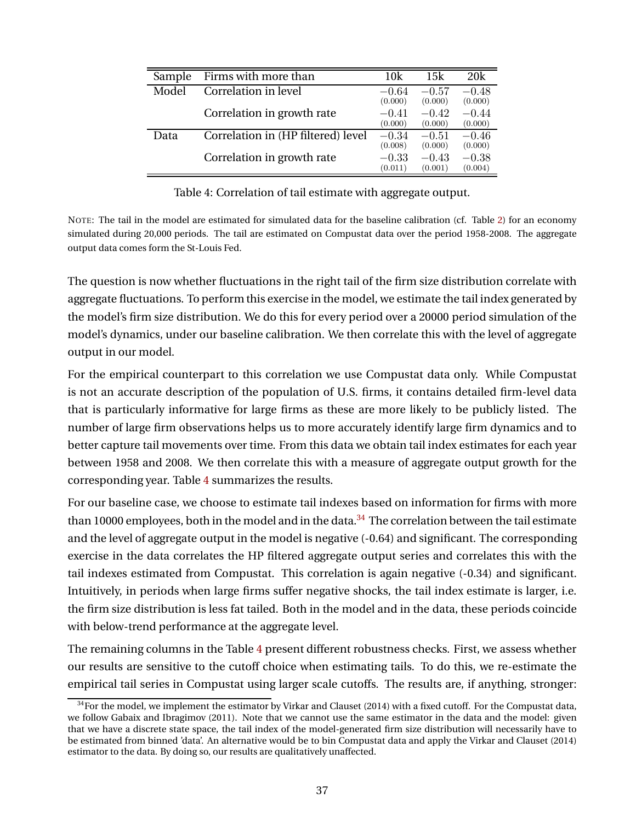| Sample | Firms with more than               | 10k                  | 15k                | 20k                |
|--------|------------------------------------|----------------------|--------------------|--------------------|
| Model  | Correlation in level               | $-0.64$              | $-0.57$            | $-0.48$            |
|        | Correlation in growth rate         | (0.000)<br>$-0.41$   | (0.000)<br>$-0.42$ | (0.000)<br>$-0.44$ |
|        |                                    | (0.000)              | (0.000)            | (0.000)            |
| Data   | Correlation in (HP filtered) level | $-0.34$              | $-0.51$            | $-0.46$            |
|        | Correlation in growth rate         | (0.008)<br>$-0.33\,$ | (0.000)<br>$-0.43$ | (0.000)<br>$-0.38$ |
|        |                                    | (0.011)              | (0.001)            | (0.004)            |

Table 4: Correlation of tail estimate with aggregate output.

NOTE: The tail in the model are estimated for simulated data for the baseline calibration (cf. Table 2) for an economy simulated during 20,000 periods. The tail are estimated on Compustat data over the period 1958-2008. The aggregate output data comes form the St-Louis Fed.

The question is now whether fluctuations in the right tail of the firm size distribution correlate with aggregate fluctuations. To perform this exercise in the model, we estimate the tail index generated by the model's firm size distribution. We do this for every period over a 20000 period simulation of the model's dynamics, under our baseline calibration. We then correlate this with the level of aggregate output in our model.

For the empirical counterpart to this correlation we use Compustat data only. While Compustat is not an accurate description of the population of U.S. firms, it contains detailed firm-level data that is particularly informative for large firms as these are more likely to be publicly listed. The number of large firm observations helps us to more accurately identify large firm dynamics and to better capture tail movements over time. From this data we obtain tail index estimates for each year between 1958 and 2008. We then correlate this with a measure of aggregate output growth for the corresponding year. Table 4 summarizes the results.

For our baseline case, we choose to estimate tail indexes based on information for firms with more than 10000 employees, both in the model and in the data.<sup>34</sup> The correlation between the tail estimate and the level of aggregate output in the model is negative (-0.64) and significant. The corresponding exercise in the data correlates the HP filtered aggregate output series and correlates this with the tail indexes estimated from Compustat. This correlation is again negative (-0.34) and significant. Intuitively, in periods when large firms suffer negative shocks, the tail index estimate is larger, i.e. the firm size distribution is less fat tailed. Both in the model and in the data, these periods coincide with below-trend performance at the aggregate level.

The remaining columns in the Table 4 present different robustness checks. First, we assess whether our results are sensitive to the cutoff choice when estimating tails. To do this, we re-estimate the empirical tail series in Compustat using larger scale cutoffs. The results are, if anything, stronger:

 $34$  For the model, we implement the estimator by Virkar and Clauset (2014) with a fixed cutoff. For the Compustat data, we follow Gabaix and Ibragimov (2011). Note that we cannot use the same estimator in the data and the model: given that we have a discrete state space, the tail index of the model-generated firm size distribution will necessarily have to be estimated from binned 'data'. An alternative would be to bin Compustat data and apply the Virkar and Clauset (2014) estimator to the data. By doing so, our results are qualitatively unaffected.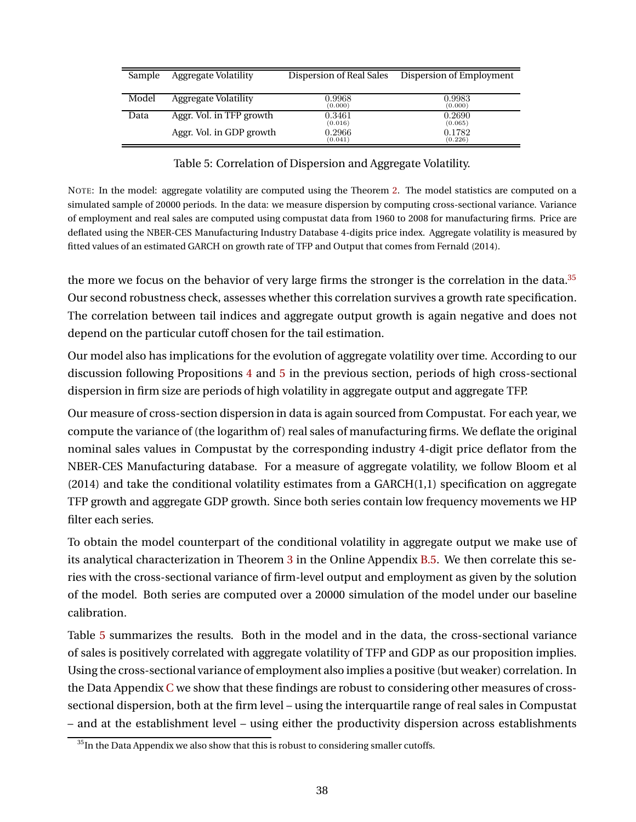| Sample | <b>Aggregate Volatility</b> | Dispersion of Real Sales | Dispersion of Employment |
|--------|-----------------------------|--------------------------|--------------------------|
| Model  | <b>Aggregate Volatility</b> | 0.9968<br>(0.000)        | 0.9983<br>(0.000)        |
| Data   | Aggr. Vol. in TFP growth    | 0.3461<br>(0.016)        | 0.2690<br>(0.065)        |
|        | Aggr. Vol. in GDP growth    | 0.2966<br>(0.041)        | 0.1782<br>(0.226)        |

### Table 5: Correlation of Dispersion and Aggregate Volatility.

NOTE: In the model: aggregate volatility are computed using the Theorem 2. The model statistics are computed on a simulated sample of 20000 periods. In the data: we measure dispersion by computing cross-sectional variance. Variance of employment and real sales are computed using compustat data from 1960 to 2008 for manufacturing firms. Price are deflated using the NBER-CES Manufacturing Industry Database 4-digits price index. Aggregate volatility is measured by fitted values of an estimated GARCH on growth rate of TFP and Output that comes from Fernald (2014).

the more we focus on the behavior of very large firms the stronger is the correlation in the data.<sup>35</sup> Our second robustness check, assesses whether this correlation survives a growth rate specification. The correlation between tail indices and aggregate output growth is again negative and does not depend on the particular cutoff chosen for the tail estimation.

Our model also has implications for the evolution of aggregate volatility over time. According to our discussion following Propositions 4 and 5 in the previous section, periods of high cross-sectional dispersion in firm size are periods of high volatility in aggregate output and aggregate TFP.

Our measure of cross-section dispersion in data is again sourced from Compustat. For each year, we compute the variance of (the logarithm of) real sales of manufacturing firms. We deflate the original nominal sales values in Compustat by the corresponding industry 4-digit price deflator from the NBER-CES Manufacturing database. For a measure of aggregate volatility, we follow Bloom et al  $(2014)$  and take the conditional volatility estimates from a GARCH $(1,1)$  specification on aggregate TFP growth and aggregate GDP growth. Since both series contain low frequency movements we HP filter each series.

To obtain the model counterpart of the conditional volatility in aggregate output we make use of its analytical characterization in Theorem 3 in the Online Appendix B.5. We then correlate this series with the cross-sectional variance of firm-level output and employment as given by the solution of the model. Both series are computed over a 20000 simulation of the model under our baseline calibration.

Table 5 summarizes the results. Both in the model and in the data, the cross-sectional variance of sales is positively correlated with aggregate volatility of TFP and GDP as our proposition implies. Using the cross-sectional variance of employment also implies a positive (but weaker) correlation. In the Data Appendix C we show that these findings are robust to considering other measures of crosssectional dispersion, both at the firm level – using the interquartile range of real sales in Compustat – and at the establishment level – using either the productivity dispersion across establishments

 $35$ In the Data Appendix we also show that this is robust to considering smaller cutoffs.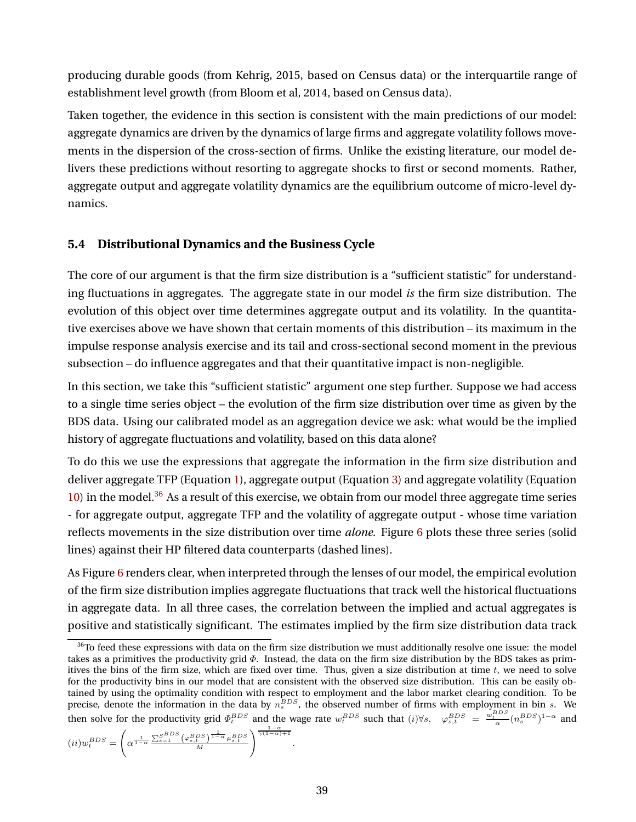producing durable goods (from Kehrig, 2015, based on Census data) or the interquartile range of establishment level growth (from Bloom et al, 2014, based on Census data).

Taken together, the evidence in this section is consistent with the main predictions of our model: aggregate dynamics are driven by the dynamics of large firms and aggregate volatility follows movements in the dispersion of the cross-section of firms. Unlike the existing literature, our model delivers these predictions without resorting to aggregate shocks to first or second moments. Rather, aggregate output and aggregate volatility dynamics are the equilibrium outcome of micro-level dynamics.

### **5.4 Distributional Dynamics and the Business Cycle**

The core of our argument is that the firm size distribution is a "sufficient statistic" for understanding fluctuations in aggregates. The aggregate state in our model *is* the firm size distribution. The evolution of this object over time determines aggregate output and its volatility. In the quantitative exercises above we have shown that certain moments of this distribution – its maximum in the impulse response analysis exercise and its tail and cross-sectional second moment in the previous subsection – do influence aggregates and that their quantitative impact is non-negligible.

In this section, we take this "sufficient statistic" argument one step further. Suppose we had access to a single time series object – the evolution of the firm size distribution over time as given by the BDS data. Using our calibrated model as an aggregation device we ask: what would be the implied history of aggregate fluctuations and volatility, based on this data alone?

To do this we use the expressions that aggregate the information in the firm size distribution and deliver aggregate TFP (Equation 1), aggregate output (Equation 3) and aggregate volatility (Equation 10) in the model.<sup>36</sup> As a result of this exercise, we obtain from our model three aggregate time series - for aggregate output, aggregate TFP and the volatility of aggregate output - whose time variation reflects movements in the size distribution over time *alone*. Figure 6 plots these three series (solid lines) against their HP filtered data counterparts (dashed lines).

As Figure 6 renders clear, when interpreted through the lenses of our model, the empirical evolution of the firm size distribution implies aggregate fluctuations that track well the historical fluctuations in aggregate data. In all three cases, the correlation between the implied and actual aggregates is positive and statistically significant. The estimates implied by the firm size distribution data track

$$
(ii) w_t^{BDS} = \left(\alpha^{\frac{1}{1-\alpha}\frac{\sum_{s=1}^{SBS} \left(\varphi_{s,t}^{BDS}\right)^\frac{1}{1-\alpha}\mu_{s,t}^{BDS}}{M}}\right)^{\frac{1-\alpha}{\gamma(1-\alpha)+1}}
$$

.

 $36$ To feed these expressions with data on the firm size distribution we must additionally resolve one issue: the model takes as a primitives the productivity grid  $\Phi$ . Instead, the data on the firm size distribution by the BDS takes as primitives the bins of the firm size, which are fixed over time. Thus, given a size distribution at time  $t$ , we need to solve for the productivity bins in our model that are consistent with the observed size distribution. This can be easily obtained by using the optimality condition with respect to employment and the labor market clearing condition. To be precise, denote the information in the data by  $n_s^{BDS}$ , the observed number of firms with employment in bin s. We then solve for the productivity grid  $\Phi_t^{BDS}$  and the wage rate  $w_t^{BDS}$  such that  $(i) \forall s$ ,  $\varphi_{s,t}^{BDS} = \frac{w_t^{BDS}}{\alpha} (n_s^{BDS})^{1-\alpha}$  and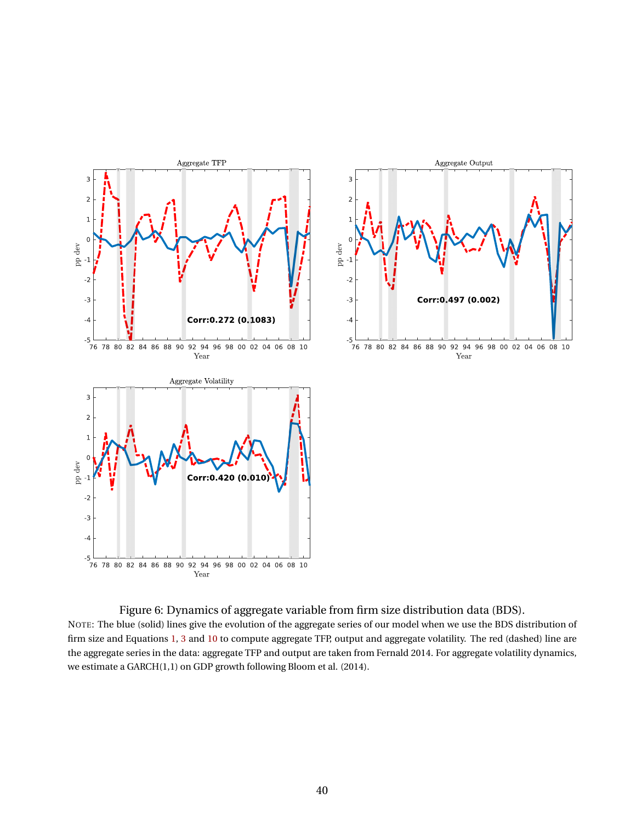

Figure 6: Dynamics of aggregate variable from firm size distribution data (BDS). NOTE: The blue (solid) lines give the evolution of the aggregate series of our model when we use the BDS distribution of firm size and Equations 1, 3 and 10 to compute aggregate TFP, output and aggregate volatility. The red (dashed) line are the aggregate series in the data: aggregate TFP and output are taken from Fernald 2014. For aggregate volatility dynamics, we estimate a GARCH(1,1) on GDP growth following Bloom et al. (2014).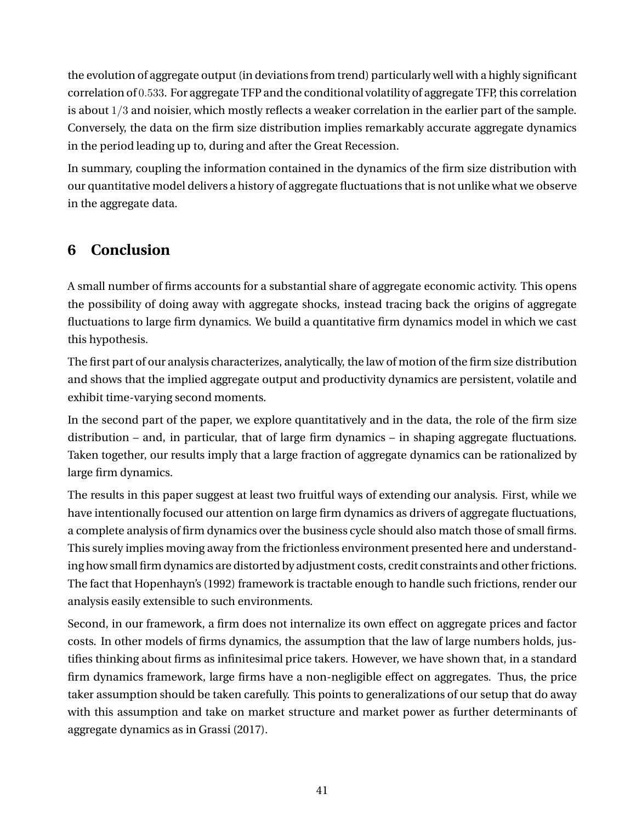the evolution of aggregate output (in deviations from trend) particularly well with a highly significant correlation of 0.533. For aggregate TFP and the conditional volatility of aggregate TFP, this correlation is about 1/3 and noisier, which mostly reflects a weaker correlation in the earlier part of the sample. Conversely, the data on the firm size distribution implies remarkably accurate aggregate dynamics in the period leading up to, during and after the Great Recession.

In summary, coupling the information contained in the dynamics of the firm size distribution with our quantitative model delivers a history of aggregate fluctuations that is not unlike what we observe in the aggregate data.

# **6 Conclusion**

A small number of firms accounts for a substantial share of aggregate economic activity. This opens the possibility of doing away with aggregate shocks, instead tracing back the origins of aggregate fluctuations to large firm dynamics. We build a quantitative firm dynamics model in which we cast this hypothesis.

The first part of our analysis characterizes, analytically, the law of motion of the firm size distribution and shows that the implied aggregate output and productivity dynamics are persistent, volatile and exhibit time-varying second moments.

In the second part of the paper, we explore quantitatively and in the data, the role of the firm size distribution – and, in particular, that of large firm dynamics – in shaping aggregate fluctuations. Taken together, our results imply that a large fraction of aggregate dynamics can be rationalized by large firm dynamics.

The results in this paper suggest at least two fruitful ways of extending our analysis. First, while we have intentionally focused our attention on large firm dynamics as drivers of aggregate fluctuations, a complete analysis of firm dynamics over the business cycle should also match those of small firms. This surely implies moving away from the frictionless environment presented here and understanding how small firm dynamics are distorted by adjustment costs, credit constraints and other frictions. The fact that Hopenhayn's (1992) framework is tractable enough to handle such frictions, render our analysis easily extensible to such environments.

Second, in our framework, a firm does not internalize its own effect on aggregate prices and factor costs. In other models of firms dynamics, the assumption that the law of large numbers holds, justifies thinking about firms as infinitesimal price takers. However, we have shown that, in a standard firm dynamics framework, large firms have a non-negligible effect on aggregates. Thus, the price taker assumption should be taken carefully. This points to generalizations of our setup that do away with this assumption and take on market structure and market power as further determinants of aggregate dynamics as in Grassi (2017).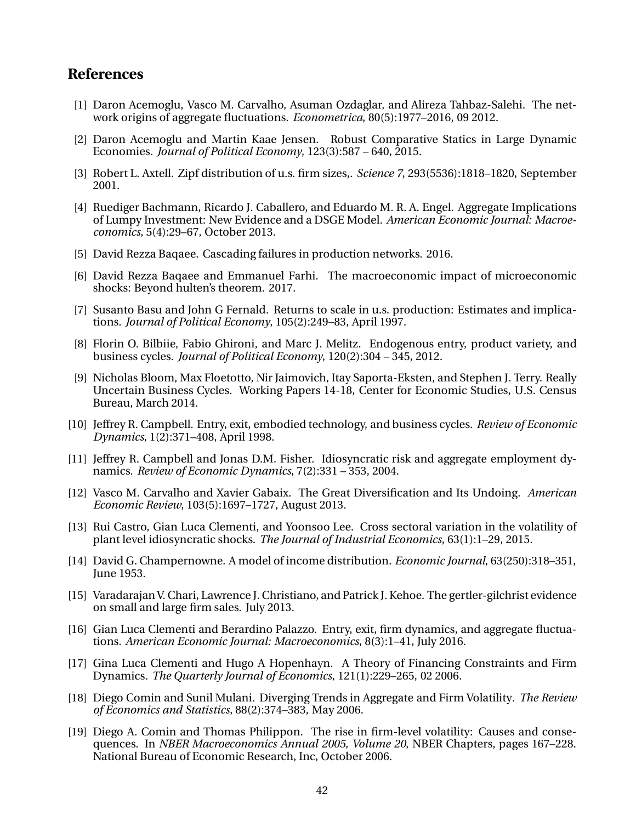### **References**

- [1] Daron Acemoglu, Vasco M. Carvalho, Asuman Ozdaglar, and Alireza Tahbaz-Salehi. The network origins of aggregate fluctuations. *Econometrica*, 80(5):1977–2016, 09 2012.
- [2] Daron Acemoglu and Martin Kaae Jensen. Robust Comparative Statics in Large Dynamic Economies. *Journal of Political Economy*, 123(3):587 – 640, 2015.
- [3] Robert L. Axtell. Zipf distribution of u.s. firm sizes,. *Science 7*, 293(5536):1818–1820, September 2001.
- [4] Ruediger Bachmann, Ricardo J. Caballero, and Eduardo M. R. A. Engel. Aggregate Implications of Lumpy Investment: New Evidence and a DSGE Model. *American Economic Journal: Macroeconomics*, 5(4):29–67, October 2013.
- [5] David Rezza Baqaee. Cascading failures in production networks. 2016.
- [6] David Rezza Baqaee and Emmanuel Farhi. The macroeconomic impact of microeconomic shocks: Beyond hulten's theorem. 2017.
- [7] Susanto Basu and John G Fernald. Returns to scale in u.s. production: Estimates and implications. *Journal of Political Economy*, 105(2):249–83, April 1997.
- [8] Florin O. Bilbiie, Fabio Ghironi, and Marc J. Melitz. Endogenous entry, product variety, and business cycles. *Journal of Political Economy*, 120(2):304 – 345, 2012.
- [9] Nicholas Bloom, Max Floetotto, Nir Jaimovich, Itay Saporta-Eksten, and Stephen J. Terry. Really Uncertain Business Cycles. Working Papers 14-18, Center for Economic Studies, U.S. Census Bureau, March 2014.
- [10] Jeffrey R. Campbell. Entry, exit, embodied technology, and business cycles. *Review of Economic Dynamics*, 1(2):371–408, April 1998.
- [11] Jeffrey R. Campbell and Jonas D.M. Fisher. Idiosyncratic risk and aggregate employment dynamics. *Review of Economic Dynamics*, 7(2):331 – 353, 2004.
- [12] Vasco M. Carvalho and Xavier Gabaix. The Great Diversification and Its Undoing. *American Economic Review*, 103(5):1697–1727, August 2013.
- [13] Rui Castro, Gian Luca Clementi, and Yoonsoo Lee. Cross sectoral variation in the volatility of plant level idiosyncratic shocks. *The Journal of Industrial Economics*, 63(1):1–29, 2015.
- [14] David G. Champernowne. A model of income distribution. *Economic Journal*, 63(250):318–351, June 1953.
- [15] Varadarajan V. Chari, Lawrence J. Christiano, and Patrick J. Kehoe. The gertler-gilchrist evidence on small and large firm sales. July 2013.
- [16] Gian Luca Clementi and Berardino Palazzo. Entry, exit, firm dynamics, and aggregate fluctuations. *American Economic Journal: Macroeconomics*, 8(3):1–41, July 2016.
- [17] Gina Luca Clementi and Hugo A Hopenhayn. A Theory of Financing Constraints and Firm Dynamics. *The Quarterly Journal of Economics*, 121(1):229–265, 02 2006.
- [18] Diego Comin and Sunil Mulani. Diverging Trends in Aggregate and Firm Volatility. *The Review of Economics and Statistics*, 88(2):374–383, May 2006.
- [19] Diego A. Comin and Thomas Philippon. The rise in firm-level volatility: Causes and consequences. In *NBER Macroeconomics Annual 2005, Volume 20*, NBER Chapters, pages 167–228. National Bureau of Economic Research, Inc, October 2006.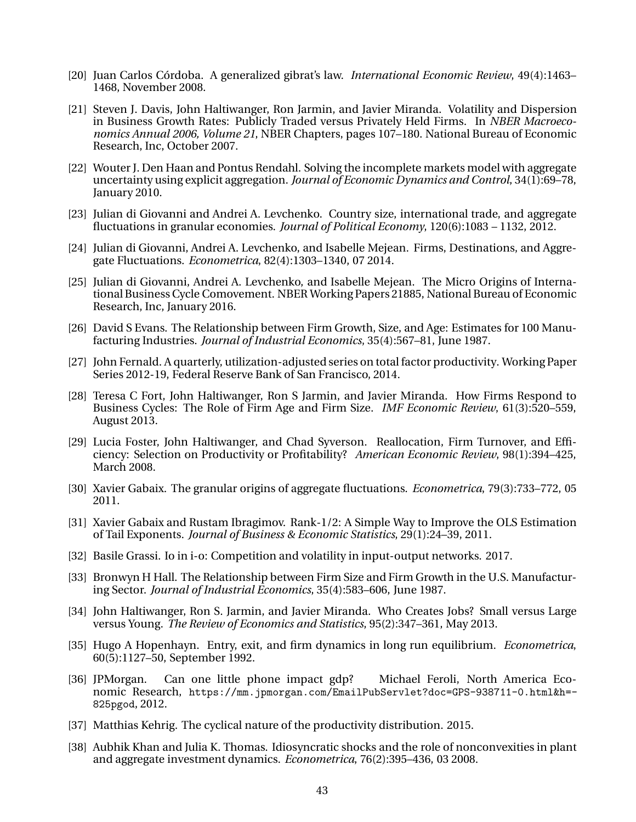- [20] Juan Carlos Córdoba. A generalized gibrat's law. *International Economic Review*, 49(4):1463– 1468, November 2008.
- [21] Steven J. Davis, John Haltiwanger, Ron Jarmin, and Javier Miranda. Volatility and Dispersion in Business Growth Rates: Publicly Traded versus Privately Held Firms. In *NBER Macroeconomics Annual 2006, Volume 21*, NBER Chapters, pages 107–180. National Bureau of Economic Research, Inc, October 2007.
- [22] Wouter J. Den Haan and Pontus Rendahl. Solving the incomplete markets model with aggregate uncertainty using explicit aggregation. *Journal of Economic Dynamics and Control*, 34(1):69–78, January 2010.
- [23] Julian di Giovanni and Andrei A. Levchenko. Country size, international trade, and aggregate fluctuations in granular economies. *Journal of Political Economy*, 120(6):1083 – 1132, 2012.
- [24] Julian di Giovanni, Andrei A. Levchenko, and Isabelle Mejean. Firms, Destinations, and Aggregate Fluctuations. *Econometrica*, 82(4):1303–1340, 07 2014.
- [25] Julian di Giovanni, Andrei A. Levchenko, and Isabelle Mejean. The Micro Origins of International Business Cycle Comovement. NBER Working Papers 21885, National Bureau of Economic Research, Inc, January 2016.
- [26] David S Evans. The Relationship between Firm Growth, Size, and Age: Estimates for 100 Manufacturing Industries. *Journal of Industrial Economics*, 35(4):567–81, June 1987.
- [27] John Fernald. A quarterly, utilization-adjusted series on total factor productivity. Working Paper Series 2012-19, Federal Reserve Bank of San Francisco, 2014.
- [28] Teresa C Fort, John Haltiwanger, Ron S Jarmin, and Javier Miranda. How Firms Respond to Business Cycles: The Role of Firm Age and Firm Size. *IMF Economic Review*, 61(3):520–559, August 2013.
- [29] Lucia Foster, John Haltiwanger, and Chad Syverson. Reallocation, Firm Turnover, and Efficiency: Selection on Productivity or Profitability? *American Economic Review*, 98(1):394–425, March 2008.
- [30] Xavier Gabaix. The granular origins of aggregate fluctuations. *Econometrica*, 79(3):733–772, 05 2011.
- [31] Xavier Gabaix and Rustam Ibragimov. Rank-1/2: A Simple Way to Improve the OLS Estimation of Tail Exponents. *Journal of Business & Economic Statistics*, 29(1):24–39, 2011.
- [32] Basile Grassi. Io in i-o: Competition and volatility in input-output networks. 2017.
- [33] Bronwyn H Hall. The Relationship between Firm Size and Firm Growth in the U.S. Manufacturing Sector. *Journal of Industrial Economics*, 35(4):583–606, June 1987.
- [34] John Haltiwanger, Ron S. Jarmin, and Javier Miranda. Who Creates Jobs? Small versus Large versus Young. *The Review of Economics and Statistics*, 95(2):347–361, May 2013.
- [35] Hugo A Hopenhayn. Entry, exit, and firm dynamics in long run equilibrium. *Econometrica*, 60(5):1127–50, September 1992.
- [36] JPMorgan. Can one little phone impact gdp? Michael Feroli, North America Economic Research, https://mm.jpmorgan.com/EmailPubServlet?doc=GPS-938711-0.html&h=- 825pgod, 2012.
- [37] Matthias Kehrig. The cyclical nature of the productivity distribution. 2015.
- [38] Aubhik Khan and Julia K. Thomas. Idiosyncratic shocks and the role of nonconvexities in plant and aggregate investment dynamics. *Econometrica*, 76(2):395–436, 03 2008.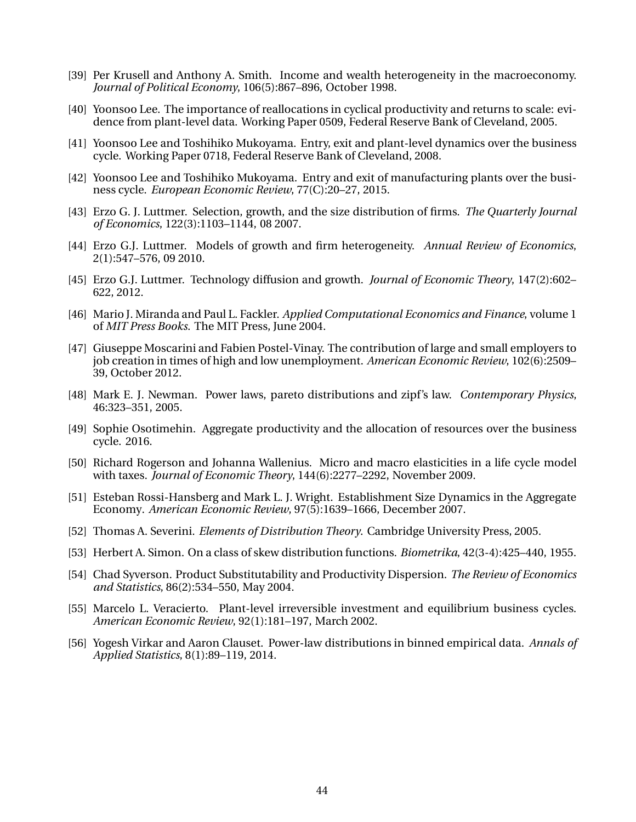- [39] Per Krusell and Anthony A. Smith. Income and wealth heterogeneity in the macroeconomy. *Journal of Political Economy*, 106(5):867–896, October 1998.
- [40] Yoonsoo Lee. The importance of reallocations in cyclical productivity and returns to scale: evidence from plant-level data. Working Paper 0509, Federal Reserve Bank of Cleveland, 2005.
- [41] Yoonsoo Lee and Toshihiko Mukoyama. Entry, exit and plant-level dynamics over the business cycle. Working Paper 0718, Federal Reserve Bank of Cleveland, 2008.
- [42] Yoonsoo Lee and Toshihiko Mukoyama. Entry and exit of manufacturing plants over the business cycle. *European Economic Review*, 77(C):20–27, 2015.
- [43] Erzo G. J. Luttmer. Selection, growth, and the size distribution of firms. *The Quarterly Journal of Economics*, 122(3):1103–1144, 08 2007.
- [44] Erzo G.J. Luttmer. Models of growth and firm heterogeneity. *Annual Review of Economics*, 2(1):547–576, 09 2010.
- [45] Erzo G.J. Luttmer. Technology diffusion and growth. *Journal of Economic Theory*, 147(2):602– 622, 2012.
- [46] Mario J. Miranda and Paul L. Fackler. *Applied Computational Economics and Finance*, volume 1 of *MIT Press Books*. The MIT Press, June 2004.
- [47] Giuseppe Moscarini and Fabien Postel-Vinay. The contribution of large and small employers to job creation in times of high and low unemployment. *American Economic Review*, 102(6):2509– 39, October 2012.
- [48] Mark E. J. Newman. Power laws, pareto distributions and zipf's law. *Contemporary Physics*, 46:323–351, 2005.
- [49] Sophie Osotimehin. Aggregate productivity and the allocation of resources over the business cycle. 2016.
- [50] Richard Rogerson and Johanna Wallenius. Micro and macro elasticities in a life cycle model with taxes. *Journal of Economic Theory*, 144(6):2277–2292, November 2009.
- [51] Esteban Rossi-Hansberg and Mark L. J. Wright. Establishment Size Dynamics in the Aggregate Economy. *American Economic Review*, 97(5):1639–1666, December 2007.
- [52] Thomas A. Severini. *Elements of Distribution Theory*. Cambridge University Press, 2005.
- [53] Herbert A. Simon. On a class of skew distribution functions. *Biometrika*, 42(3-4):425–440, 1955.
- [54] Chad Syverson. Product Substitutability and Productivity Dispersion. *The Review of Economics and Statistics*, 86(2):534–550, May 2004.
- [55] Marcelo L. Veracierto. Plant-level irreversible investment and equilibrium business cycles. *American Economic Review*, 92(1):181–197, March 2002.
- [56] Yogesh Virkar and Aaron Clauset. Power-law distributions in binned empirical data. *Annals of Applied Statistics*, 8(1):89–119, 2014.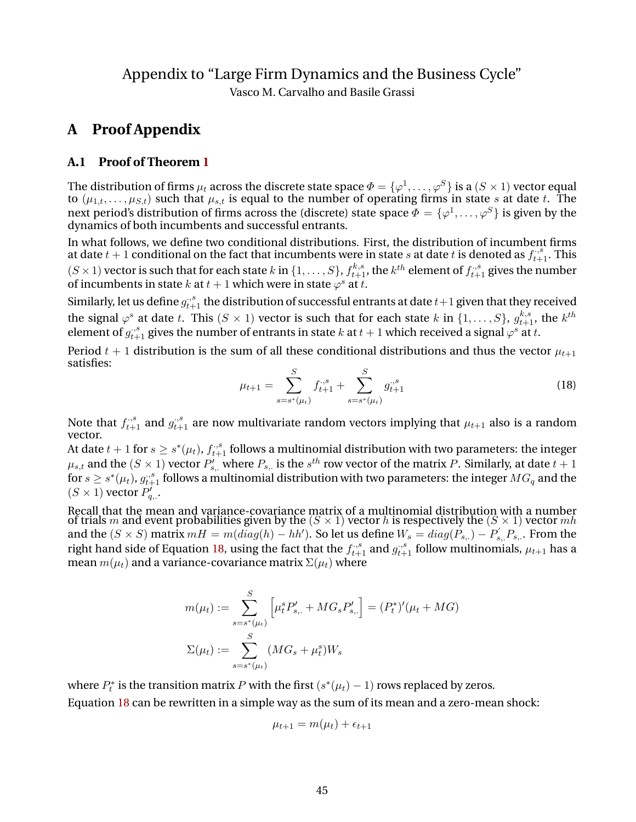### Appendix to "Large Firm Dynamics and the Business Cycle"

Vasco M. Carvalho and Basile Grassi

# **A Proof Appendix**

### **A.1 Proof of Theorem 1**

The distribution of firms  $\mu_t$  across the discrete state space  $\Phi = \{\varphi^1,\ldots,\varphi^S\}$  is a  $(S \times 1)$  vector equal to  $(\mu_{1,t}, \ldots, \mu_{S,t})$  such that  $\mu_{s,t}$  is equal to the number of operating firms in state s at date t. The next period's distribution of firms across the (discrete) state space  $\Phi = {\varphi^1, \dots, \varphi^S}$  is given by the dynamics of both incumbents and successful entrants.

In what follows, we define two conditional distributions. First, the distribution of incumbent firms<br>at data t + 1 conditional on the fact that incumbents were in state s at data t is denoted as  $f^{ss}$ . This at date  $t+1$  conditional on the fact that incumbents were in state  $s$  at date  $t$  is denoted as  $f_{t+1}^{\cdot,s}.$  This  $(S \times 1)$  vector is such that for each state k in  $\{1, \ldots, S\}$ ,  $f_{t+1}^{k,s}$ , the  $k^{th}$  element of  $f_{t+1}^{s,s}$  gives the number of incumbents in state k at  $t+1$  which were in state  $\varphi^s$  at t.

Similarly, let us define  $g_{t+1}^{\cdot,s}$  the distribution of successful entrants at date  $t+1$  given that they received the signal  $\varphi^s$  at date t. This  $(S \times 1)$  vector is such that for each state k in  $\{1, \ldots, S\}$ ,  $g_{t+1}^{k,s}$ , the  $k^{th}$ element of  $g_{t+1}^{s,s}$  gives the number of entrants in state k at  $t+1$  which received a signal  $\varphi^s$  at t.

Period  $t + 1$  distribution is the sum of all these conditional distributions and thus the vector  $\mu_{t+1}$ satisfies:

$$
\mu_{t+1} = \sum_{s=s^*(\mu_t)}^S f_{t+1}^{s^s} + \sum_{s=s^*(\mu_t)}^S g_{t+1}^{s^s}
$$
\n(18)

Note that  $f_{t+1}^{.,s}$  and  $g_{t+1}^{.,s}$  are now multivariate random vectors implying that  $\mu_{t+1}$  also is a random vector.

At date  $t + 1$  for  $s \geq s^*(\mu_t)$ ,  $f_{t+1}^{.,s}$  follows a multinomial distribution with two parameters: the integer  $\mu_{s,t}$  and the  $(S\times 1)$  vector  $P'_{s,.}$  where  $P_{s,.}$  is the  $s^{th}$  row vector of the matrix  $P.$  Similarly, at date  $t+1$ for  $s\geq s^*(\mu_t),$   $g_{t+1}^{.,s}$  follows a multinomial distribution with two parameters: the integer  $MG_q$  and the  $(S \times 1)$  vector  $P'_{q,\cdot}$ .

Recall that the mean and variance-covariance matrix of a multinomial distribution with a number of trials m and event probabilities given by the  $(S \times 1)$  vector h is respectively the  $(S \times 1)$  vector mh and the  $(S \times S)$  matrix  $mH = m(diag(h) - hh')$ . So let us define  $W_s = diag(P_{s_0}) - P'_{s_0}P_{s_0}$ . From the right hand side of Equation 18, using the fact that the  $f_{t+1}^{.,s}$  and  $g_{t+1}^{.,s}$  follow multinomials,  $\mu_{t+1}$  has a mean  $m(\mu_t)$  and a variance-covariance matrix  $\Sigma(\mu_t)$  where

$$
m(\mu_t) := \sum_{s=s^*(\mu_t)}^S \left[ \mu_t^s P'_{s,.} + MG_s P'_{s,.} \right] = (P_t^*)'(\mu_t + MG)
$$

$$
\Sigma(\mu_t) := \sum_{s=s^*(\mu_t)}^S (MG_s + \mu_t^s) W_s
$$

where  $P_t^*$  is the transition matrix  $P$  with the first  $(s^*(\mu_t) - 1)$  rows replaced by zeros. Equation 18 can be rewritten in a simple way as the sum of its mean and a zero-mean shock:

$$
\mu_{t+1} = m(\mu_t) + \epsilon_{t+1}
$$